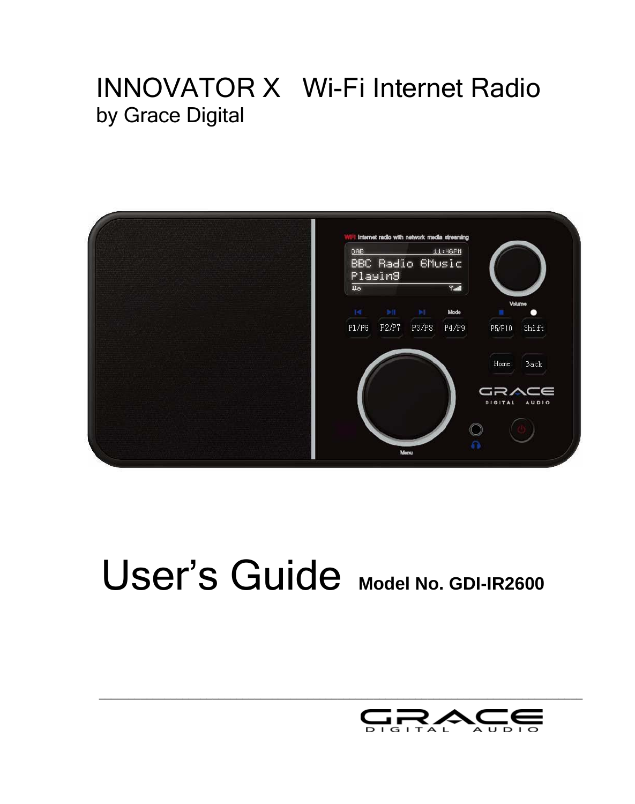## INNOVATOR X Wi-Fi Internet Radio by Grace Digital



# User's Guide **Model No. GDI-IR2600**

\_\_\_\_\_\_\_\_\_\_\_\_\_\_\_\_\_\_\_\_\_\_\_\_\_\_\_\_\_\_\_\_\_\_\_\_\_\_\_\_\_\_\_\_\_\_\_\_\_\_\_\_\_\_\_\_\_\_\_\_\_\_\_\_\_\_\_\_\_\_\_\_\_\_\_\_\_\_\_\_\_

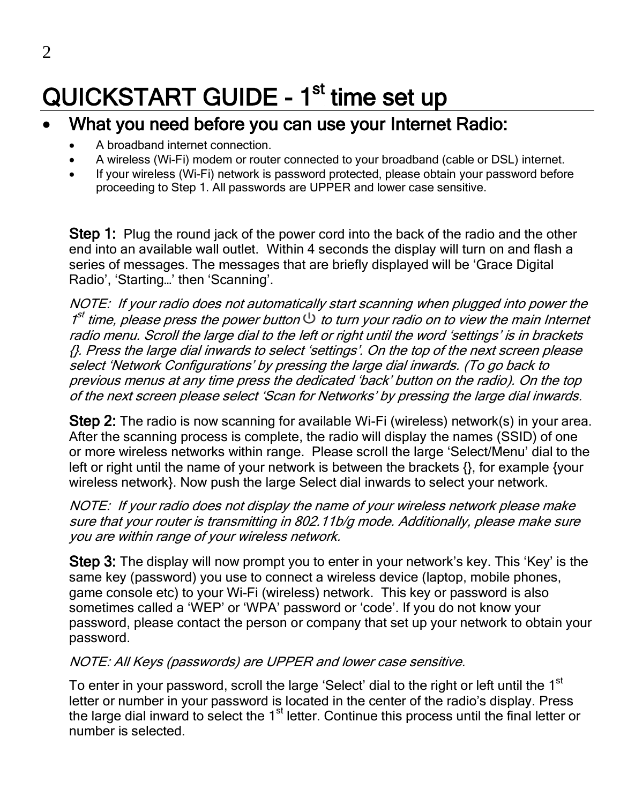## QUICKSTART GUIDE - 1<sup>st</sup> time set up

#### What you need before you can use your Internet Radio:

- A broadband internet connection.
- A wireless (Wi-Fi) modem or router connected to your broadband (cable or DSL) internet.
- If your wireless (Wi-Fi) network is password protected, please obtain your password before proceeding to Step 1. All passwords are UPPER and lower case sensitive.

**Step 1:** Plug the round jack of the power cord into the back of the radio and the other end into an available wall outlet. Within 4 seconds the display will turn on and flash a series of messages. The messages that are briefly displayed will be 'Grace Digital Radio', 'Starting…' then 'Scanning'.

NOTE: If your radio does not automatically start scanning when plugged into power the  $1<sup>st</sup>$  time, please press the power button  $\mathcal O$  to turn your radio on to view the main Internet radio menu. Scroll the large dial to the left or right until the word 'settings' is in brackets {}. Press the large dial inwards to select 'settings'. On the top of the next screen please select 'Network Configurations' by pressing the large dial inwards. (To go back to previous menus at any time press the dedicated 'back' button on the radio). On the top of the next screen please select 'Scan for Networks' by pressing the large dial inwards.

**Step 2:** The radio is now scanning for available Wi-Fi (wireless) network(s) in your area. After the scanning process is complete, the radio will display the names (SSID) of one or more wireless networks within range. Please scroll the large 'Select/Menu' dial to the left or right until the name of your network is between the brackets  $\{\}$ , for example  $\{$ your wireless network}. Now push the large Select dial inwards to select your network.

NOTE: If your radio does not display the name of your wireless network please make sure that your router is transmitting in 802.11b/g mode. Additionally, please make sure you are within range of your wireless network.

Step 3: The display will now prompt you to enter in your network's key. This 'Key' is the same key (password) you use to connect a wireless device (laptop, mobile phones, game console etc) to your Wi-Fi (wireless) network. This key or password is also sometimes called a 'WEP' or 'WPA' password or 'code'. If you do not know your password, please contact the person or company that set up your network to obtain your password.

#### NOTE: All Keys (passwords) are UPPER and lower case sensitive.

To enter in your password, scroll the large 'Select' dial to the right or left until the 1<sup>st</sup> letter or number in your password is located in the center of the radio's display. Press the large dial inward to select the 1<sup>st</sup> letter. Continue this process until the final letter or number is selected.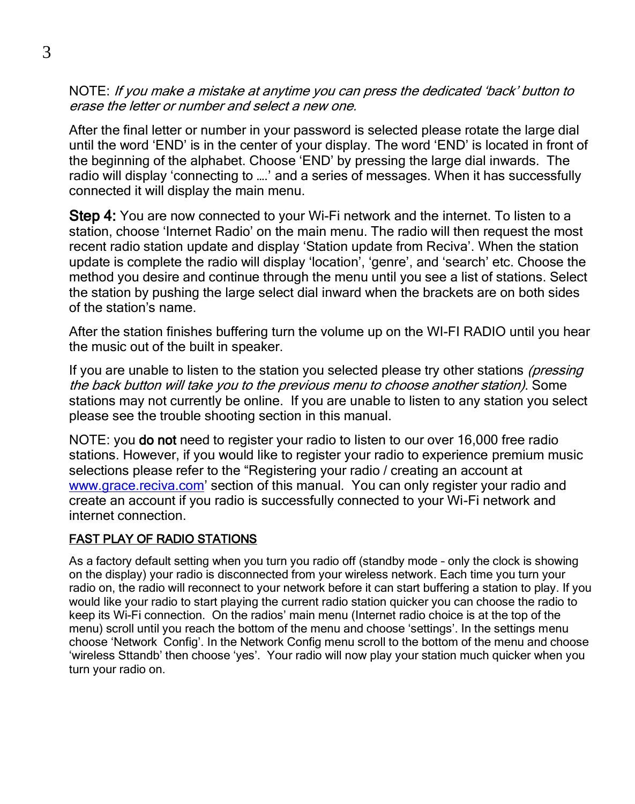NOTE: If you make a mistake at anytime you can press the dedicated 'back' button to erase the letter or number and select a new one.

After the final letter or number in your password is selected please rotate the large dial until the word 'END' is in the center of your display. The word 'END' is located in front of the beginning of the alphabet. Choose 'END' by pressing the large dial inwards. The radio will display 'connecting to ….' and a series of messages. When it has successfully connected it will display the main menu.

Step 4: You are now connected to your Wi-Fi network and the internet. To listen to a station, choose 'Internet Radio' on the main menu. The radio will then request the most recent radio station update and display 'Station update from Reciva'. When the station update is complete the radio will display 'location', 'genre', and 'search' etc. Choose the method you desire and continue through the menu until you see a list of stations. Select the station by pushing the large select dial inward when the brackets are on both sides of the station's name.

After the station finishes buffering turn the volume up on the WI-FI RADIO until you hear the music out of the built in speaker.

If you are unable to listen to the station you selected please try other stations (pressing the back button will take you to the previous menu to choose another station). Some stations may not currently be online. If you are unable to listen to any station you select please see the trouble shooting section in this manual.

NOTE: you **do not** need to register your radio to listen to our over 16,000 free radio stations. However, if you would like to register your radio to experience premium music selections please refer to the "Registering your radio / creating an account at [www.grace.reciva.com](http://www.grace.reciva.com/)' section of this manual. You can only register your radio and create an account if you radio is successfully connected to your Wi-Fi network and internet connection.

#### FAST PLAY OF RADIO STATIONS

As a factory default setting when you turn you radio off (standby mode – only the clock is showing on the display) your radio is disconnected from your wireless network. Each time you turn your radio on, the radio will reconnect to your network before it can start buffering a station to play. If you would like your radio to start playing the current radio station quicker you can choose the radio to keep its Wi-Fi connection. On the radios' main menu (Internet radio choice is at the top of the menu) scroll until you reach the bottom of the menu and choose 'settings'. In the settings menu choose 'Network Config'. In the Network Config menu scroll to the bottom of the menu and choose 'wireless Sttandb' then choose 'yes'. Your radio will now play your station much quicker when you turn your radio on.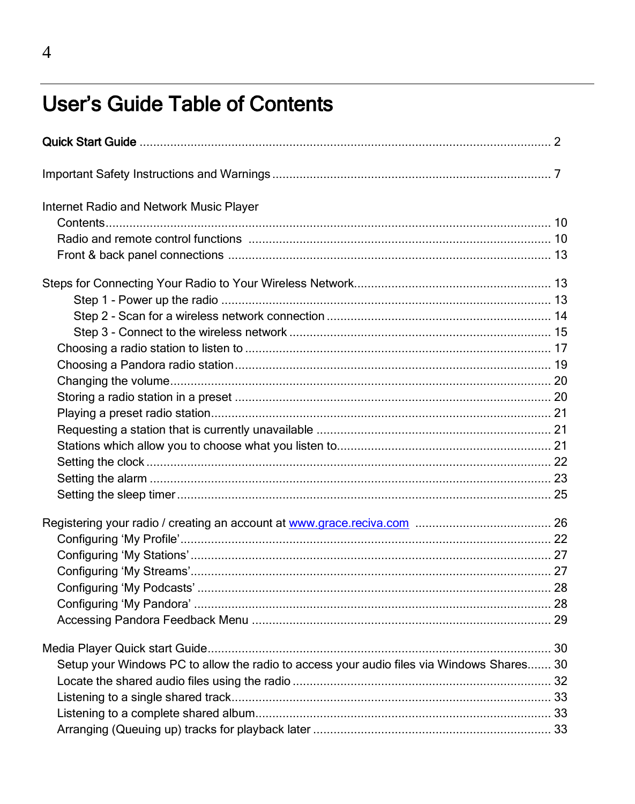### **User's Guide Table of Contents**

| Internet Radio and Network Music Player                                                   |  |
|-------------------------------------------------------------------------------------------|--|
|                                                                                           |  |
|                                                                                           |  |
|                                                                                           |  |
|                                                                                           |  |
|                                                                                           |  |
|                                                                                           |  |
|                                                                                           |  |
|                                                                                           |  |
|                                                                                           |  |
|                                                                                           |  |
|                                                                                           |  |
|                                                                                           |  |
|                                                                                           |  |
|                                                                                           |  |
|                                                                                           |  |
|                                                                                           |  |
|                                                                                           |  |
|                                                                                           |  |
|                                                                                           |  |
|                                                                                           |  |
|                                                                                           |  |
|                                                                                           |  |
|                                                                                           |  |
|                                                                                           |  |
|                                                                                           |  |
| Setup your Windows PC to allow the radio to access your audio files via Windows Shares 30 |  |
|                                                                                           |  |
|                                                                                           |  |
|                                                                                           |  |
|                                                                                           |  |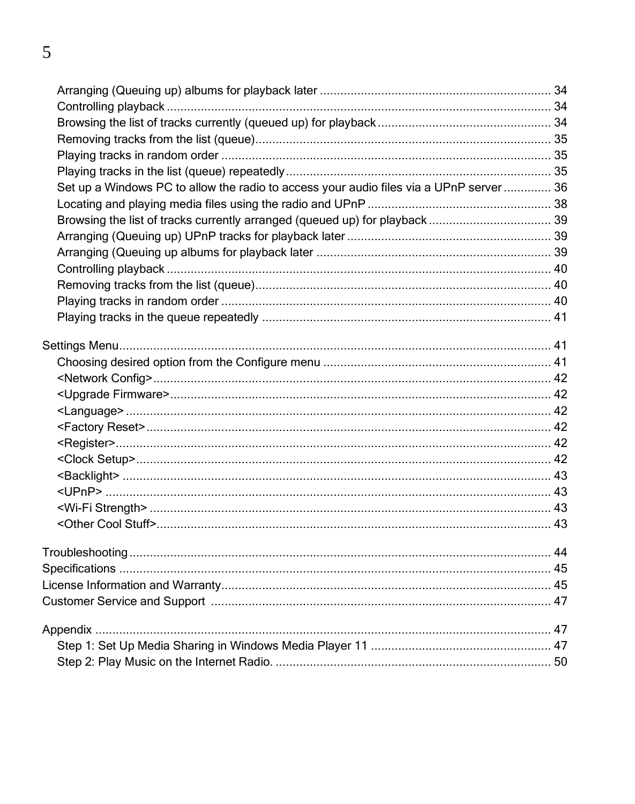| Set up a Windows PC to allow the radio to access your audio files via a UPnP server  36 |  |
|-----------------------------------------------------------------------------------------|--|
|                                                                                         |  |
|                                                                                         |  |
|                                                                                         |  |
|                                                                                         |  |
|                                                                                         |  |
|                                                                                         |  |
|                                                                                         |  |
|                                                                                         |  |
|                                                                                         |  |
|                                                                                         |  |
|                                                                                         |  |
|                                                                                         |  |
|                                                                                         |  |
|                                                                                         |  |
|                                                                                         |  |
|                                                                                         |  |
|                                                                                         |  |
|                                                                                         |  |
|                                                                                         |  |
|                                                                                         |  |
|                                                                                         |  |
|                                                                                         |  |
|                                                                                         |  |
|                                                                                         |  |
|                                                                                         |  |
|                                                                                         |  |
|                                                                                         |  |
|                                                                                         |  |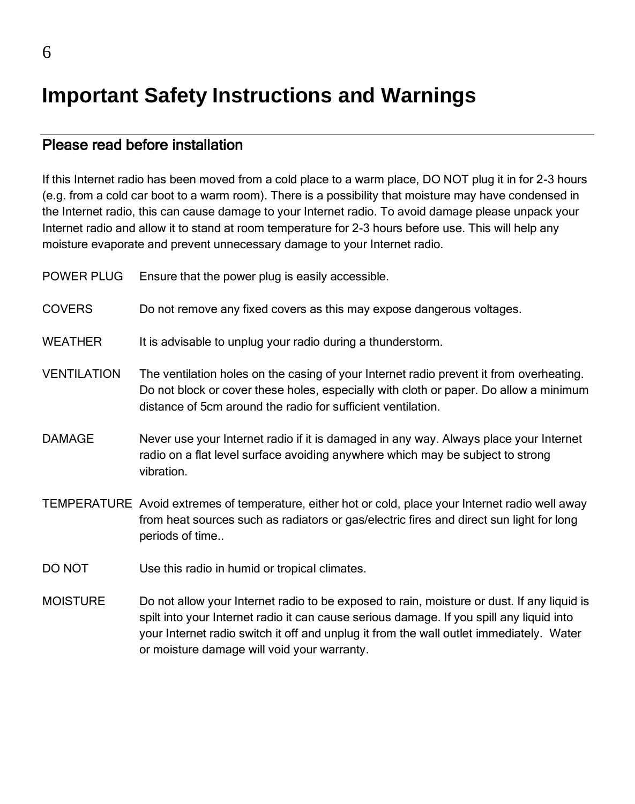### **Important Safety Instructions and Warnings**

#### Please read before installation

If this Internet radio has been moved from a cold place to a warm place, DO NOT plug it in for 2-3 hours (e.g. from a cold car boot to a warm room). There is a possibility that moisture may have condensed in the Internet radio, this can cause damage to your Internet radio. To avoid damage please unpack your Internet radio and allow it to stand at room temperature for 2-3 hours before use. This will help any moisture evaporate and prevent unnecessary damage to your Internet radio.

| POWER PLUG         | Ensure that the power plug is easily accessible.                                                                                                                                                                                                 |
|--------------------|--------------------------------------------------------------------------------------------------------------------------------------------------------------------------------------------------------------------------------------------------|
| <b>COVERS</b>      | Do not remove any fixed covers as this may expose dangerous voltages.                                                                                                                                                                            |
| <b>WEATHER</b>     | It is advisable to unplug your radio during a thunderstorm.                                                                                                                                                                                      |
| <b>VENTILATION</b> | The ventilation holes on the casing of your Internet radio prevent it from overheating.<br>Do not block or cover these holes, especially with cloth or paper. Do allow a minimum<br>distance of 5cm around the radio for sufficient ventilation. |
| <b>DAMAGE</b>      | Never use your Internet radio if it is damaged in any way. Always place your Internet<br>radio on a flat level surface avoiding anywhere which may be subject to strong<br>vibration.                                                            |
|                    | TEMPERATURE Avoid extremes of temperature, either hot or cold, place your Internet radio well away<br>from heat sources such as radiators or gas/electric fires and direct sun light for long<br>periods of time                                 |
| DO NOT             | Use this radio in humid or tropical climates.                                                                                                                                                                                                    |
| <b>MOISTURE</b>    | Do not allow your Internet radio to be exposed to rain, moisture or dust. If any liquid is<br>المقط الماريمال يسمى الأسام يتمرح المستملح مستملس مرتبط والمستحدث والمسائل المستمقين المستحدث مقما فالسم                                           |

spilt into your Internet radio it can cause serious damage. If you spill any liquid into your Internet radio switch it off and unplug it from the wall outlet immediately. Water or moisture damage will void your warranty.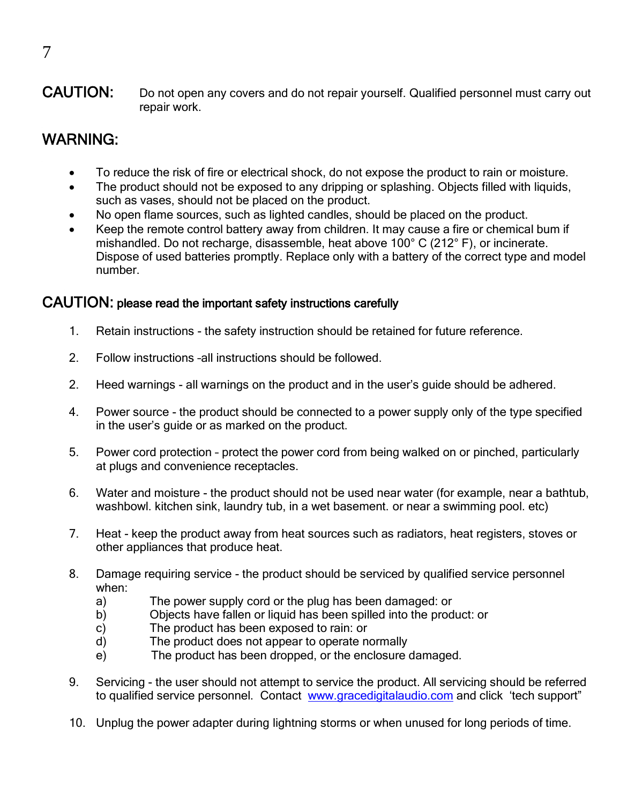#### CAUTION: Do not open any covers and do not repair yourself. Qualified personnel must carry out repair work.

#### WARNING:

- To reduce the risk of fire or electrical shock, do not expose the product to rain or moisture.
- The product should not be exposed to any dripping or splashing. Objects filled with liquids, such as vases, should not be placed on the product.
- No open flame sources, such as lighted candles, should be placed on the product.
- Keep the remote control battery away from children. It may cause a fire or chemical bum if mishandled. Do not recharge, disassemble, heat above 100° C (212° F), or incinerate. Dispose of used batteries promptly. Replace only with a battery of the correct type and model number.

#### CAUTION: please read the important safety instructions carefully

- 1. Retain instructions the safety instruction should be retained for future reference.
- 2. Follow instructions –all instructions should be followed.
- 2. Heed warnings all warnings on the product and in the user's guide should be adhered.
- 4. Power source the product should be connected to a power supply only of the type specified in the user's guide or as marked on the product.
- 5. Power cord protection protect the power cord from being walked on or pinched, particularly at plugs and convenience receptacles.
- 6. Water and moisture the product should not be used near water (for example, near a bathtub, washbowl. kitchen sink, laundry tub, in a wet basement. or near a swimming pool. etc)
- 7. Heat keep the product away from heat sources such as radiators, heat registers, stoves or other appliances that produce heat.
- 8. Damage requiring service the product should be serviced by qualified service personnel when:
	- a) The power supply cord or the plug has been damaged: or
	- b) Objects have fallen or liquid has been spilled into the product: or
	- c) The product has been exposed to rain: or
	- d) The product does not appear to operate normally
	- e) The product has been dropped, or the enclosure damaged.
- 9. Servicing the user should not attempt to service the product. All servicing should be referred to qualified service personnel. Contact [www.gracedigitalaudio.com](http://www.gracedigitalaudio.com/) and click 'tech support"
- 10. Unplug the power adapter during lightning storms or when unused for long periods of time.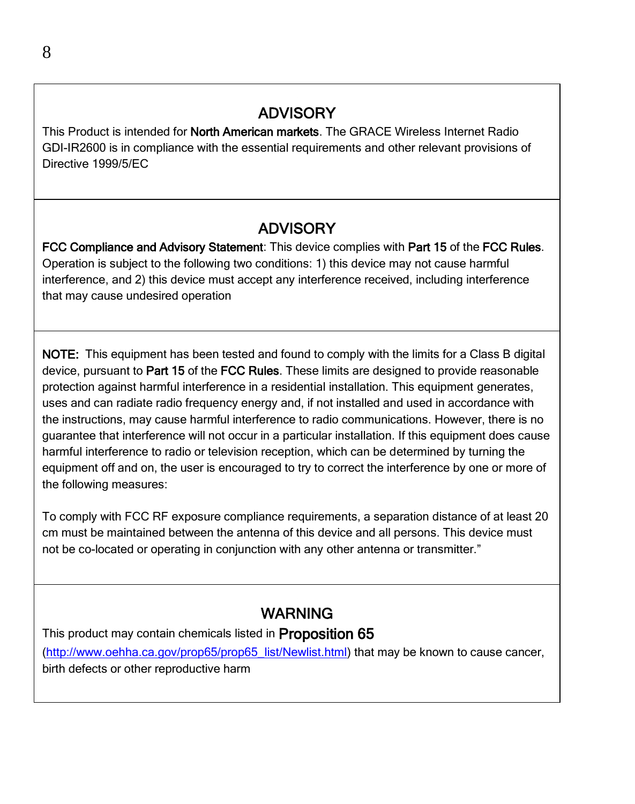#### ADVISORY

This Product is intended for **North American markets**. The GRACE Wireless Internet Radio GDI-IR2600 is in compliance with the essential requirements and other relevant provisions of Directive 1999/5/EC

#### ADVISORY

FCC Compliance and Advisory Statement: This device complies with Part 15 of the FCC Rules. Operation is subject to the following two conditions: 1) this device may not cause harmful interference, and 2) this device must accept any interference received, including interference that may cause undesired operation

NOTE: This equipment has been tested and found to comply with the limits for a Class B digital device, pursuant to Part 15 of the FCC Rules. These limits are designed to provide reasonable protection against harmful interference in a residential installation. This equipment generates, uses and can radiate radio frequency energy and, if not installed and used in accordance with the instructions, may cause harmful interference to radio communications. However, there is no guarantee that interference will not occur in a particular installation. If this equipment does cause harmful interference to radio or television reception, which can be determined by turning the equipment off and on, the user is encouraged to try to correct the interference by one or more of the following measures:

To comply with FCC RF exposure compliance requirements, a separation distance of at least 20 cm must be maintained between the antenna of this device and all persons. This device must not be co-located or operating in conjunction with any other antenna or transmitter."

#### WARNING

This product may contain chemicals listed in **Proposition 65** 

[\(http://www.oehha.ca.gov/prop65/prop65\\_list/Newlist.html\)](http://www.oehha.ca.gov/prop65/prop65_list/Newlist.html) that may be known to cause cancer, birth defects or other reproductive harm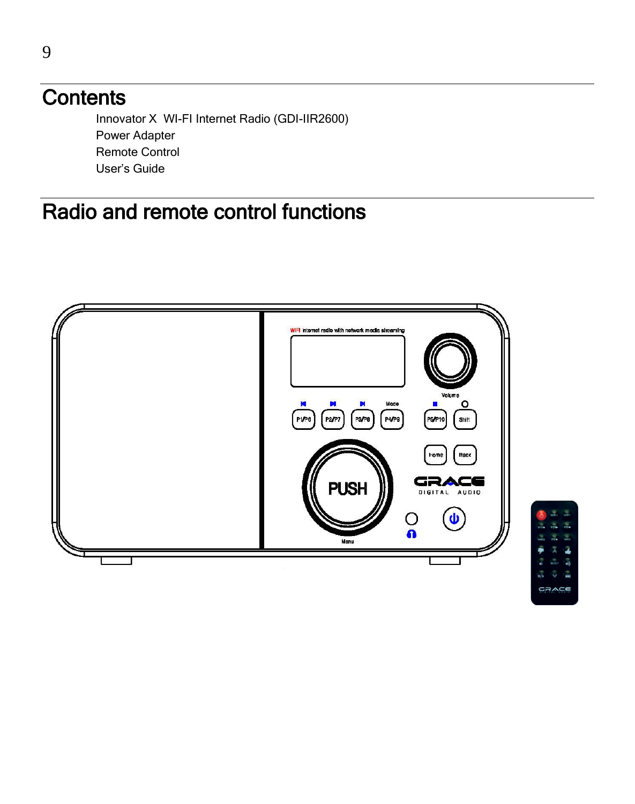### **Contents**

Innovator X WI-FI Internet Radio (GDI-IIR2600) Power Adapter Remote Control User's Guide

### Radio and remote control functions

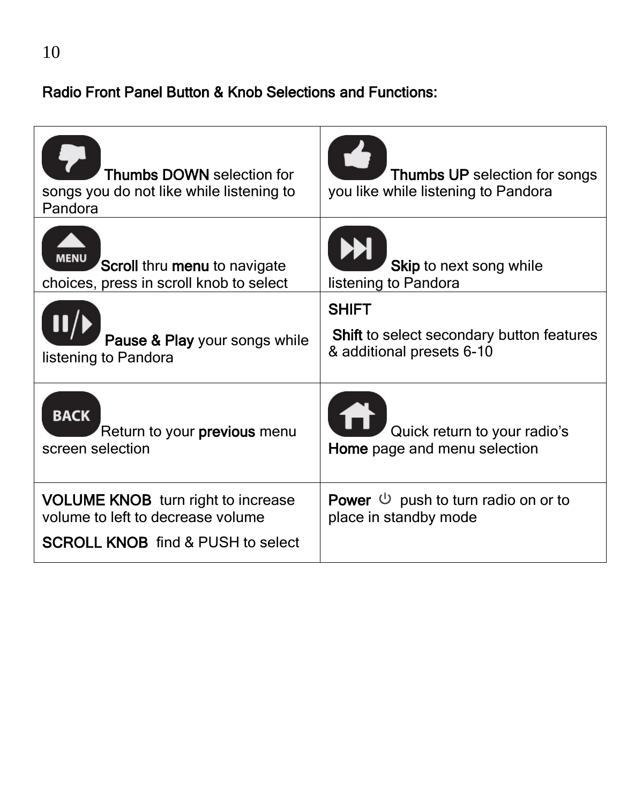#### Radio Front Panel Button & Knob Selections and Functions:

| Thumbs DOWN selection for<br>songs you do not like while listening to<br>Pandora                                           | Thumbs UP selection for songs<br>you like while listening to Pandora                          |
|----------------------------------------------------------------------------------------------------------------------------|-----------------------------------------------------------------------------------------------|
| <b>MENL</b><br>Scroll thru menu to navigate<br>choices, press in scroll knob to select                                     | Skip to next song while<br>listening to Pandora                                               |
| Pause & Play your songs while<br>listening to Pandora                                                                      | <b>SHIFT</b><br><b>Shift</b> to select secondary button features<br>& additional presets 6-10 |
| <b>BACK</b><br>Return to your <b>previous</b> menu<br>screen selection                                                     | Quick return to your radio's<br>Home page and menu selection                                  |
| <b>VOLUME KNOB</b> turn right to increase<br>volume to left to decrease volume<br><b>SCROLL KNOB</b> find & PUSH to select | <b>Power</b> $\cup$ push to turn radio on or to<br>place in standby mode                      |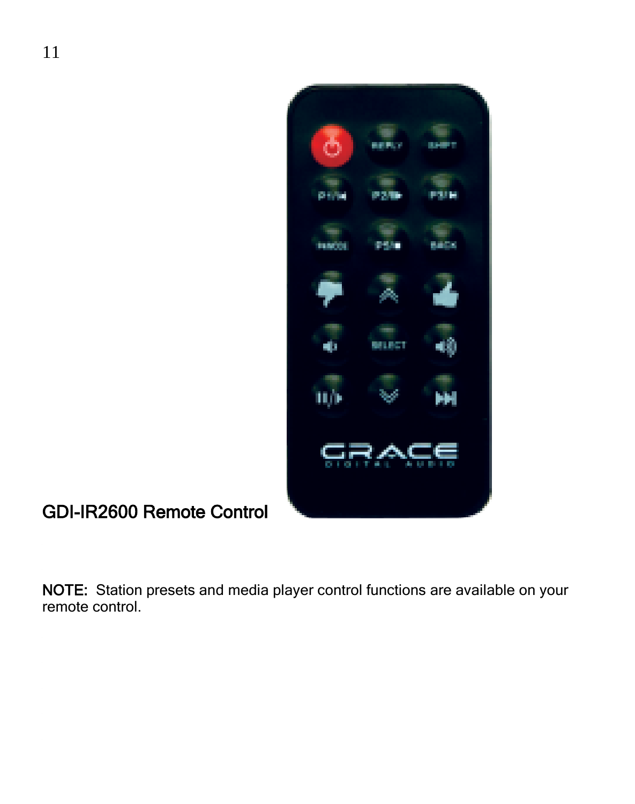

GDI-IR2600 Remote Control

NOTE: Station presets and media player control functions are available on your remote control.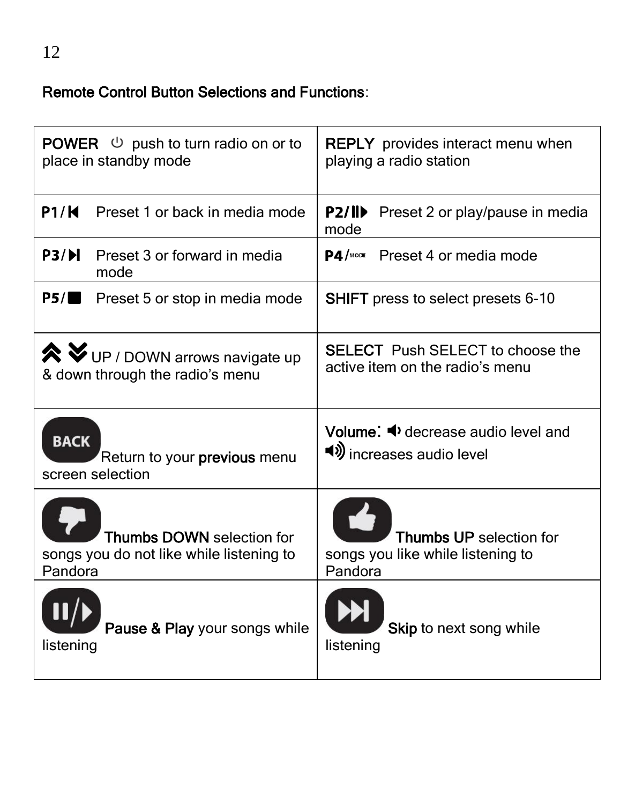#### Remote Control Button Selections and Functions:

|             | <b>POWER</b> $\cup$ push to turn radio on or to<br>place in standby mode                                     | <b>REPLY</b> provides interact menu when<br>playing a radio station                                       |
|-------------|--------------------------------------------------------------------------------------------------------------|-----------------------------------------------------------------------------------------------------------|
|             | P1/K Preset 1 or back in media mode                                                                          | P2/II<br>Preset 2 or play/pause in media<br>mode                                                          |
|             | <b>P3/D</b> Preset 3 or forward in media<br>mode                                                             | <b>P4/</b> MODE Preset 4 or media mode                                                                    |
|             | $P5/\blacksquare$ Preset 5 or stop in media mode                                                             | <b>SHIFT</b> press to select presets 6-10                                                                 |
|             | $\mathbf{\hat{\times}}$ $\mathbf{\check{v}}$ UP / DOWN arrows navigate up<br>& down through the radio's menu | <b>SELECT</b> Push SELECT to choose the<br>active item on the radio's menu                                |
| <b>BACK</b> | Return to your <b>previous</b> menu<br>screen selection                                                      | Volume: $\blacktriangleleft$ decrease audio level and<br>◀ $\boldsymbol{\vartheta}$ increases audio level |
| Pandora     | Thumbs DOWN selection for<br>songs you do not like while listening to                                        | <b>Thumbs UP</b> selection for<br>songs you like while listening to<br>Pandora                            |
| listening   | Pause & Play your songs while                                                                                | Skip to next song while<br>listening                                                                      |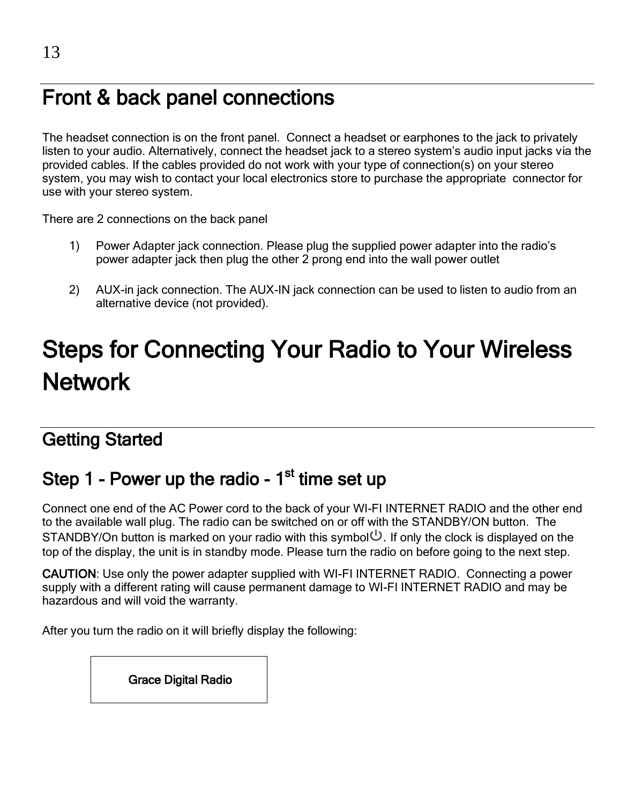### Front & back panel connections

The headset connection is on the front panel. Connect a headset or earphones to the jack to privately listen to your audio. Alternatively, connect the headset jack to a stereo system's audio input jacks via the provided cables. If the cables provided do not work with your type of connection(s) on your stereo system, you may wish to contact your local electronics store to purchase the appropriate connector for use with your stereo system.

There are 2 connections on the back panel

- 1) Power Adapter jack connection. Please plug the supplied power adapter into the radio's power adapter jack then plug the other 2 prong end into the wall power outlet
- 2) AUX-in jack connection. The AUX-IN jack connection can be used to listen to audio from an alternative device (not provided).

## Steps for Connecting Your Radio to Your Wireless **Network**

#### Getting Started

#### Step 1 - Power up the radio - 1<sup>st</sup> time set up

Connect one end of the AC Power cord to the back of your WI-FI INTERNET RADIO and the other end to the available wall plug. The radio can be switched on or off with the STANDBY/ON button. The STANDBY/On button is marked on your radio with this symbol  $\mathbb{U}$ . If only the clock is displayed on the top of the display, the unit is in standby mode. Please turn the radio on before going to the next step.

CAUTION: Use only the power adapter supplied with WI-FI INTERNET RADIO. Connecting a power supply with a different rating will cause permanent damage to WI-FI INTERNET RADIO and may be hazardous and will void the warranty.

After you turn the radio on it will briefly display the following:

Grace Digital Radio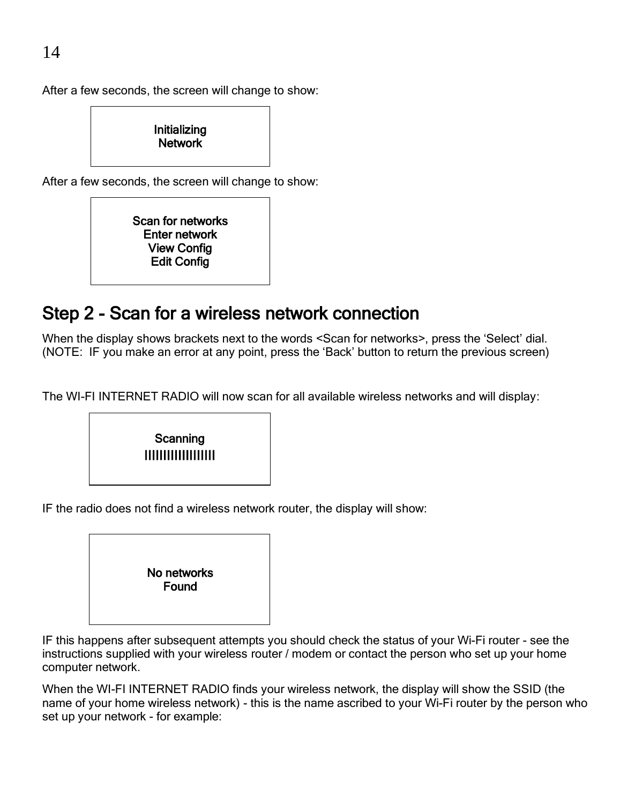After a few seconds, the screen will change to show:



After a few seconds, the screen will change to show:



#### Step 2 - Scan for a wireless network connection

When the display shows brackets next to the words <Scan for networks>, press the 'Select' dial. (NOTE: IF you make an error at any point, press the 'Back' button to return the previous screen)

The WI-FI INTERNET RADIO will now scan for all available wireless networks and will display:



IF the radio does not find a wireless network router, the display will show:



IF this happens after subsequent attempts you should check the status of your Wi-Fi router - see the instructions supplied with your wireless router / modem or contact the person who set up your home computer network.

When the WI-FI INTERNET RADIO finds your wireless network, the display will show the SSID (the name of your home wireless network) - this is the name ascribed to your Wi-Fi router by the person who set up your network - for example: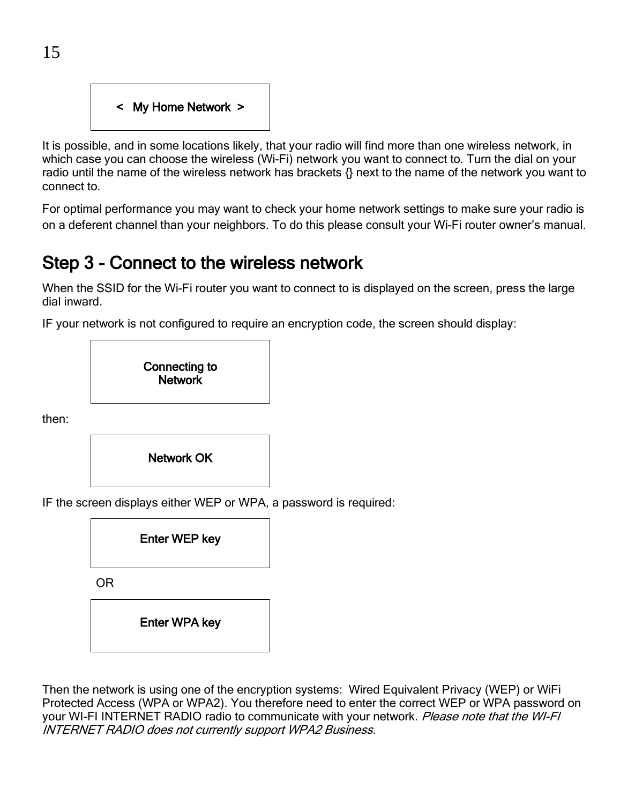

It is possible, and in some locations likely, that your radio will find more than one wireless network, in which case you can choose the wireless (Wi-Fi) network you want to connect to. Turn the dial on your radio until the name of the wireless network has brackets {} next to the name of the network you want to connect to.

For optimal performance you may want to check your home network settings to make sure your radio is on a deferent channel than your neighbors. To do this please consult your Wi-Fi router owner's manual.

#### Step 3 - Connect to the wireless network

When the SSID for the Wi-Fi router you want to connect to is displayed on the screen, press the large dial inward.

IF your network is not configured to require an encryption code, the screen should display:



then:



IF the screen displays either WEP or WPA, a password is required:



Then the network is using one of the encryption systems: Wired Equivalent Privacy (WEP) or WiFi Protected Access (WPA or WPA2). You therefore need to enter the correct WEP or WPA password on your WI-FI INTERNET RADIO radio to communicate with your network. Please note that the WI-FI INTERNET RADIO does not currently support WPA2 Business.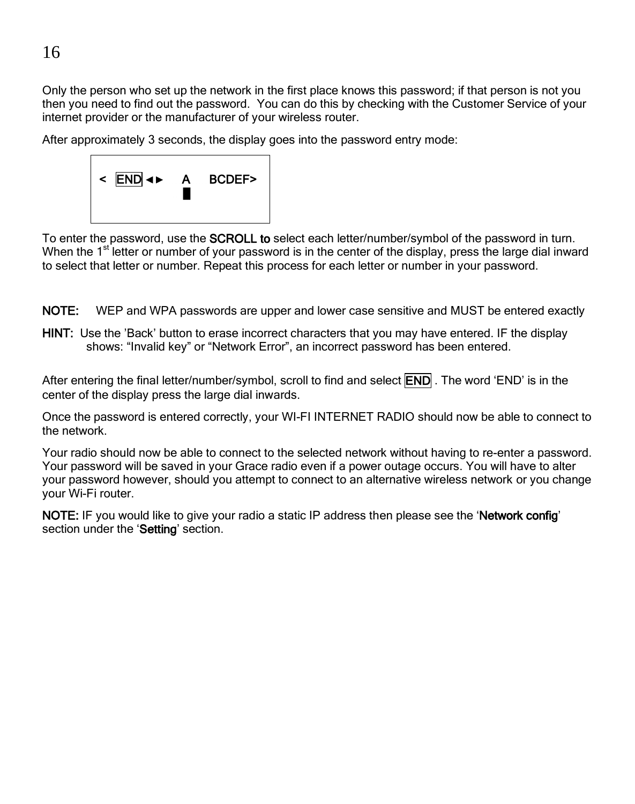Only the person who set up the network in the first place knows this password; if that person is not you then you need to find out the password. You can do this by checking with the Customer Service of your internet provider or the manufacturer of your wireless router.

After approximately 3 seconds, the display goes into the password entry mode:



To enter the password, use the **SCROLL to** select each letter/number/symbol of the password in turn. When the 1<sup>st l</sup>etter or number of your password is in the center of the display, press the large dial inward to select that letter or number. Repeat this process for each letter or number in your password.

NOTE: WEP and WPA passwords are upper and lower case sensitive and MUST be entered exactly

HINT: Use the 'Back' button to erase incorrect characters that you may have entered. IF the display shows: "Invalid key" or "Network Error", an incorrect password has been entered.

After entering the final letter/number/symbol, scroll to find and select **END**. The word 'END' is in the center of the display press the large dial inwards.

Once the password is entered correctly, your WI-FI INTERNET RADIO should now be able to connect to the network.

Your radio should now be able to connect to the selected network without having to re-enter a password. Your password will be saved in your Grace radio even if a power outage occurs. You will have to alter your password however, should you attempt to connect to an alternative wireless network or you change your Wi-Fi router.

NOTE: IF you would like to give your radio a static IP address then please see the 'Network config' section under the 'Setting' section.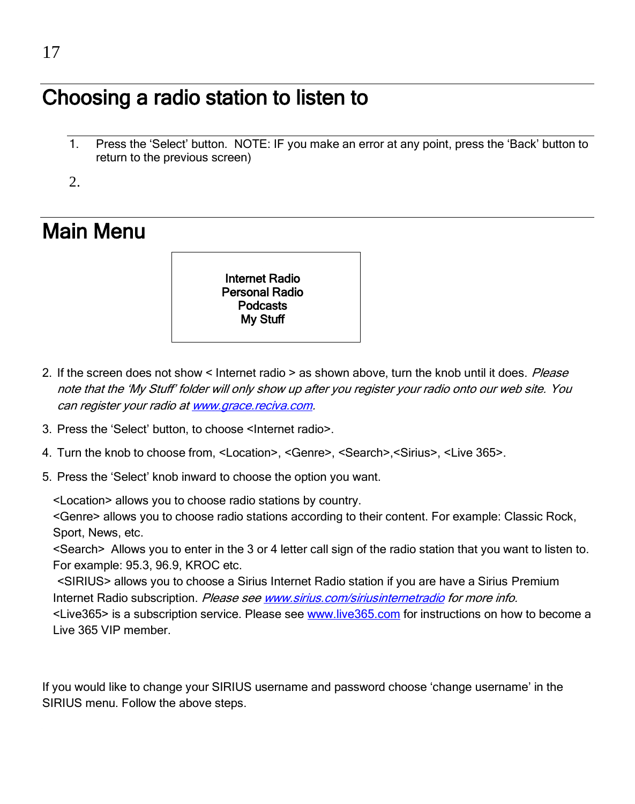### Choosing a radio station to listen to

1. Press the 'Select' button. NOTE: IF you make an error at any point, press the 'Back' button to return to the previous screen)

 $2^{\circ}$ 

### Main Menu



- 2. If the screen does not show < Internet radio > as shown above, turn the knob until it does. Please note that the 'My Stuff' folder will only show up after you register your radio onto our web site. You can register your radio a[t www.grace.reciva.com.](http://www.grace.reciva.com/)
- 3. Press the 'Select' button, to choose <Internet radio>.
- 4. Turn the knob to choose from, <Location>, <Genre>, <Search>,<Sirius>, <Live 365>.
- 5. Press the 'Select' knob inward to choose the option you want.

<Location> allows you to choose radio stations by country.

<Genre> allows you to choose radio stations according to their content. For example: Classic Rock, Sport, News, etc.

<Search> Allows you to enter in the 3 or 4 letter call sign of the radio station that you want to listen to. For example: 95.3, 96.9, KROC etc.

 <SIRIUS> allows you to choose a Sirius Internet Radio station if you are have a Sirius Premium Internet Radio subscription. Please se[e www.sirius.com/siriusinternetradio](http://www.sirius.com/siriusinternetradio) for more info. <Live365> is a subscription service. Please see [www.live365.com](http://www.live365.com/) for instructions on how to become a Live 365 VIP member.

If you would like to change your SIRIUS username and password choose 'change username' in the SIRIUS menu. Follow the above steps.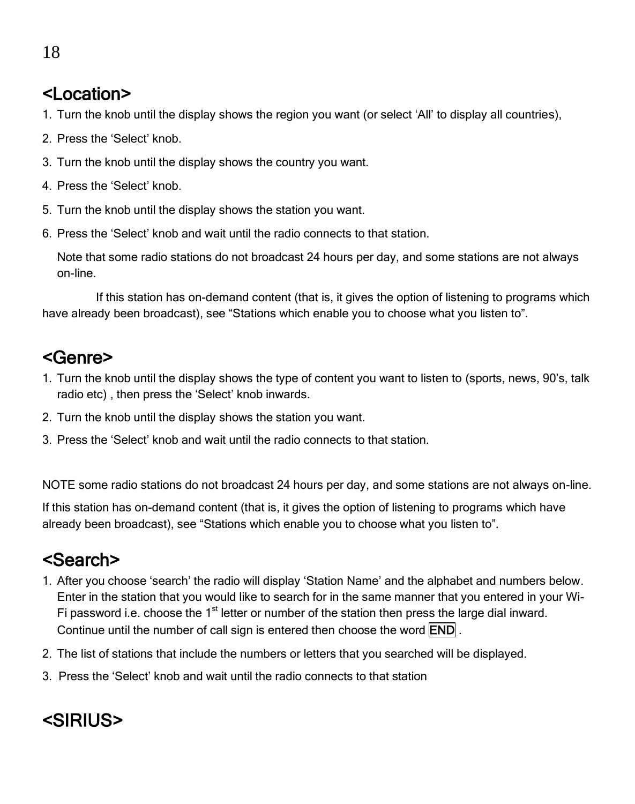#### <Location>

- 1. Turn the knob until the display shows the region you want (or select 'All' to display all countries),
- 2. Press the 'Select' knob.
- 3. Turn the knob until the display shows the country you want.
- 4. Press the 'Select' knob.
- 5. Turn the knob until the display shows the station you want.
- 6. Press the 'Select' knob and wait until the radio connects to that station.

Note that some radio stations do not broadcast 24 hours per day, and some stations are not always on-line.

If this station has on-demand content (that is, it gives the option of listening to programs which have already been broadcast), see "Stations which enable you to choose what you listen to".

#### <Genre>

- 1. Turn the knob until the display shows the type of content you want to listen to (sports, news, 90's, talk radio etc) , then press the 'Select' knob inwards.
- 2. Turn the knob until the display shows the station you want.
- 3. Press the 'Select' knob and wait until the radio connects to that station.

NOTE some radio stations do not broadcast 24 hours per day, and some stations are not always on-line.

If this station has on-demand content (that is, it gives the option of listening to programs which have already been broadcast), see "Stations which enable you to choose what you listen to".

#### <Search>

- 1. After you choose 'search' the radio will display 'Station Name' and the alphabet and numbers below. Enter in the station that you would like to search for in the same manner that you entered in your Wi-Fi password i.e. choose the  $1<sup>st</sup>$  letter or number of the station then press the large dial inward. Continue until the number of call sign is entered then choose the word END .
- 2. The list of stations that include the numbers or letters that you searched will be displayed.
- 3. Press the 'Select' knob and wait until the radio connects to that station

#### <SIRIUS>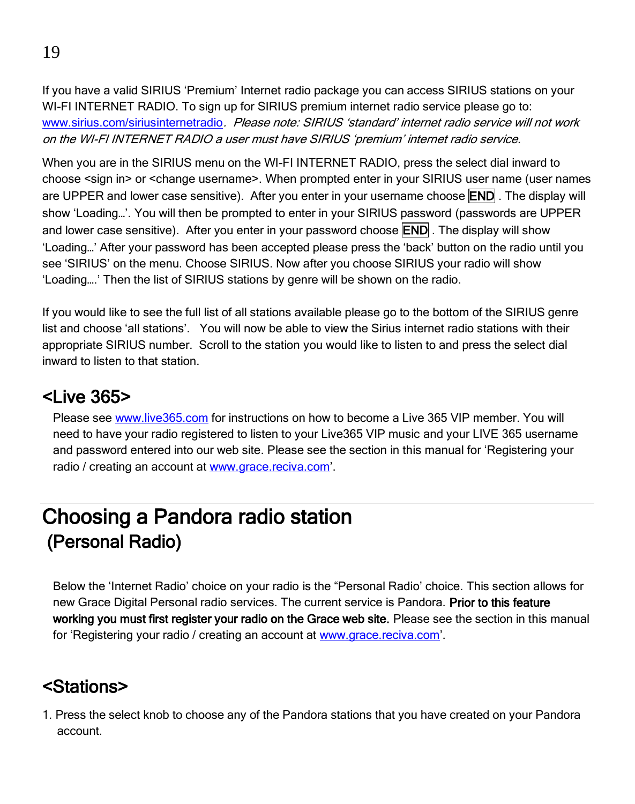If you have a valid SIRIUS 'Premium' Internet radio package you can access SIRIUS stations on your WI-FI INTERNET RADIO. To sign up for SIRIUS premium internet radio service please go to: [www.sirius.com/siriusinternetradio](http://www.sirius.com/siriusinternetradio). Please note: SIRIUS 'standard' internet radio service will not work on the WI-FI INTERNET RADIO a user must have SIRIUS 'premium' internet radio service.

When you are in the SIRIUS menu on the WI-FI INTERNET RADIO, press the select dial inward to choose <sign in> or <change username>. When prompted enter in your SIRIUS user name (user names are UPPER and lower case sensitive). After you enter in your username choose **END**. The display will show 'Loading…'. You will then be prompted to enter in your SIRIUS password (passwords are UPPER and lower case sensitive). After you enter in your password choose **END**. The display will show 'Loading…' After your password has been accepted please press the 'back' button on the radio until you see 'SIRIUS' on the menu. Choose SIRIUS. Now after you choose SIRIUS your radio will show 'Loading….' Then the list of SIRIUS stations by genre will be shown on the radio.

If you would like to see the full list of all stations available please go to the bottom of the SIRIUS genre list and choose 'all stations'. You will now be able to view the Sirius internet radio stations with their appropriate SIRIUS number. Scroll to the station you would like to listen to and press the select dial inward to listen to that station.

#### $<sub>1</sub>$  ive 365 $>$ </sub>

Please se[e www.live365.com](http://www.live365.com/) for instructions on how to become a Live 365 VIP member. You will need to have your radio registered to listen to your Live365 VIP music and your LIVE 365 username and password entered into our web site. Please see the section in this manual for 'Registering your radio / creating an account a[t www.grace.reciva.com](http://www.grace.reciva.com/)'.

### Choosing a Pandora radio station (Personal Radio)

Below the 'Internet Radio' choice on your radio is the "Personal Radio' choice. This section allows for new Grace Digital Personal radio services. The current service is Pandora. Prior to this feature working you must first register your radio on the Grace web site. Please see the section in this manual for 'Registering your radio / creating an account at [www.grace.reciva.com](http://www.grace.reciva.com/)'.

#### <Stations>

1. Press the select knob to choose any of the Pandora stations that you have created on your Pandora account.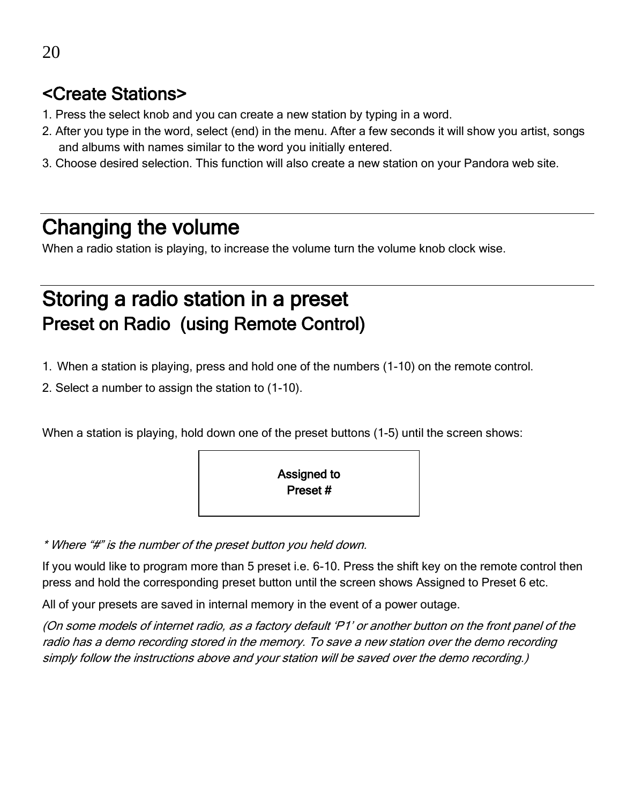#### <Create Stations>

- 1. Press the select knob and you can create a new station by typing in a word.
- 2. After you type in the word, select (end) in the menu. After a few seconds it will show you artist, songs and albums with names similar to the word you initially entered.
- 3. Choose desired selection. This function will also create a new station on your Pandora web site.

#### Changing the volume

When a radio station is playing, to increase the volume turn the volume knob clock wise.

#### Storing a radio station in a preset Preset on Radio (using Remote Control)

- 1. When a station is playing, press and hold one of the numbers (1-10) on the remote control.
- 2. Select a number to assign the station to (1-10).

When a station is playing, hold down one of the preset buttons (1-5) until the screen shows:



\* Where "#" is the number of the preset button you held down.

If you would like to program more than 5 preset i.e. 6-10. Press the shift key on the remote control then press and hold the corresponding preset button until the screen shows Assigned to Preset 6 etc.

All of your presets are saved in internal memory in the event of a power outage.

(On some models of internet radio, as a factory default 'P1' or another button on the front panel of the radio has a demo recording stored in the memory. To save a new station over the demo recording simply follow the instructions above and your station will be saved over the demo recording.)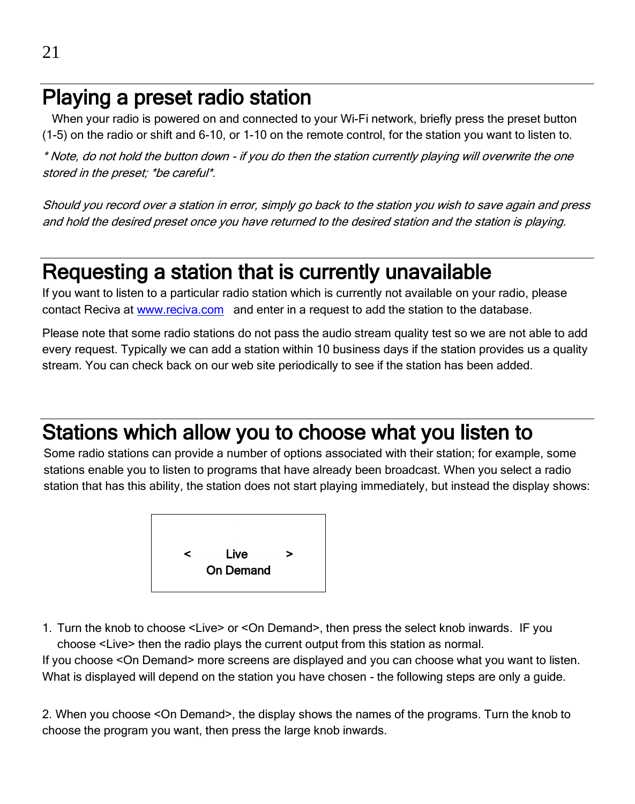#### Playing a preset radio station

 When your radio is powered on and connected to your Wi-Fi network, briefly press the preset button (1-5) on the radio or shift and 6-10, or 1-10 on the remote control, for the station you want to listen to.

\* Note, do not hold the button down - if you do then the station currently playing will overwrite the one stored in the preset; \*be careful\*.

Should you record over a station in error, simply go back to the station you wish to save again and press and hold the desired preset once you have returned to the desired station and the station is playing.

### Requesting a station that is currently unavailable

If you want to listen to a particular radio station which is currently not available on your radio, please contact Reciva a[t www.reciva.com](http://www.reciva.com/) and enter in a request to add the station to the database.

Please note that some radio stations do not pass the audio stream quality test so we are not able to add every request. Typically we can add a station within 10 business days if the station provides us a quality stream. You can check back on our web site periodically to see if the station has been added.

### Stations which allow you to choose what you listen to

Some radio stations can provide a number of options associated with their station; for example, some stations enable you to listen to programs that have already been broadcast. When you select a radio station that has this ability, the station does not start playing immediately, but instead the display shows:



1. Turn the knob to choose <Live> or <On Demand>, then press the select knob inwards. IF you choose <Live> then the radio plays the current output from this station as normal.

If you choose <On Demand> more screens are displayed and you can choose what you want to listen. What is displayed will depend on the station you have chosen - the following steps are only a guide.

2. When you choose <On Demand>, the display shows the names of the programs. Turn the knob to choose the program you want, then press the large knob inwards.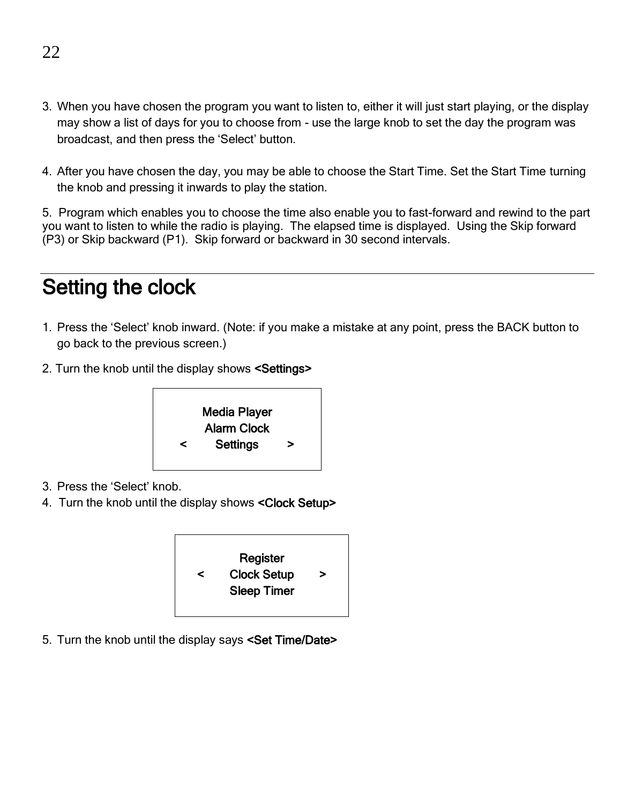- 3. When you have chosen the program you want to listen to, either it will just start playing, or the display may show a list of days for you to choose from - use the large knob to set the day the program was broadcast, and then press the 'Select' button.
- 4. After you have chosen the day, you may be able to choose the Start Time. Set the Start Time turning the knob and pressing it inwards to play the station.

5. Program which enables you to choose the time also enable you to fast-forward and rewind to the part you want to listen to while the radio is playing. The elapsed time is displayed. Using the Skip forward (P3) or Skip backward (P1). Skip forward or backward in 30 second intervals.

### Setting the clock

- 1. Press the 'Select' knob inward. (Note: if you make a mistake at any point, press the BACK button to go back to the previous screen.)
- 2. Turn the knob until the display shows <Settings>



- 3. Press the 'Select' knob.
- 4. Turn the knob until the display shows <Clock Setup>



5. Turn the knob until the display says <Set Time/Date>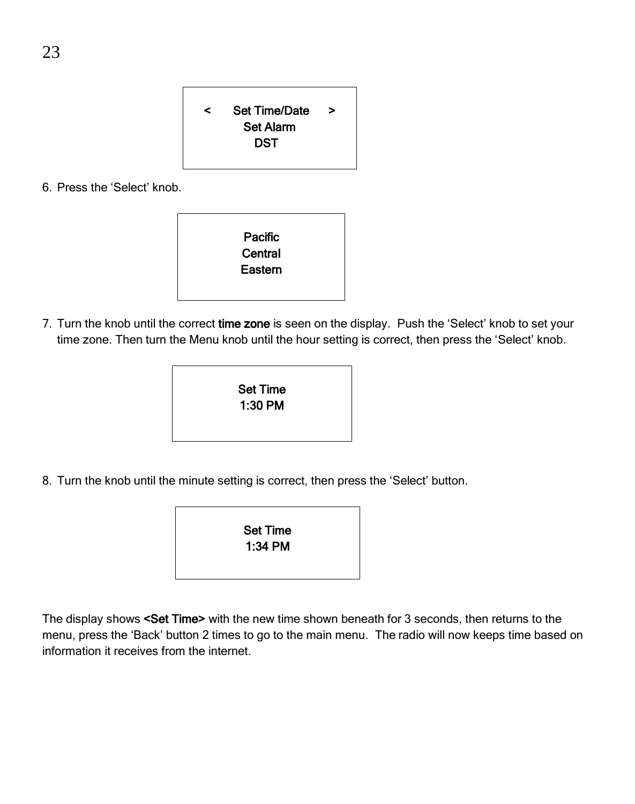< Set Time/Date > Set Alarm **DST** 

6. Press the 'Select' knob.

| Pacific |  |
|---------|--|
| Central |  |
| Eastern |  |
|         |  |
|         |  |

7. Turn the knob until the correct time zone is seen on the display. Push the 'Select' knob to set your time zone. Then turn the Menu knob until the hour setting is correct, then press the 'Select' knob.



8. Turn the knob until the minute setting is correct, then press the 'Select' button.

Set Time 1:34 PM

The display shows <Set Time> with the new time shown beneath for 3 seconds, then returns to the menu, press the 'Back' button 2 times to go to the main menu. The radio will now keeps time based on information it receives from the internet.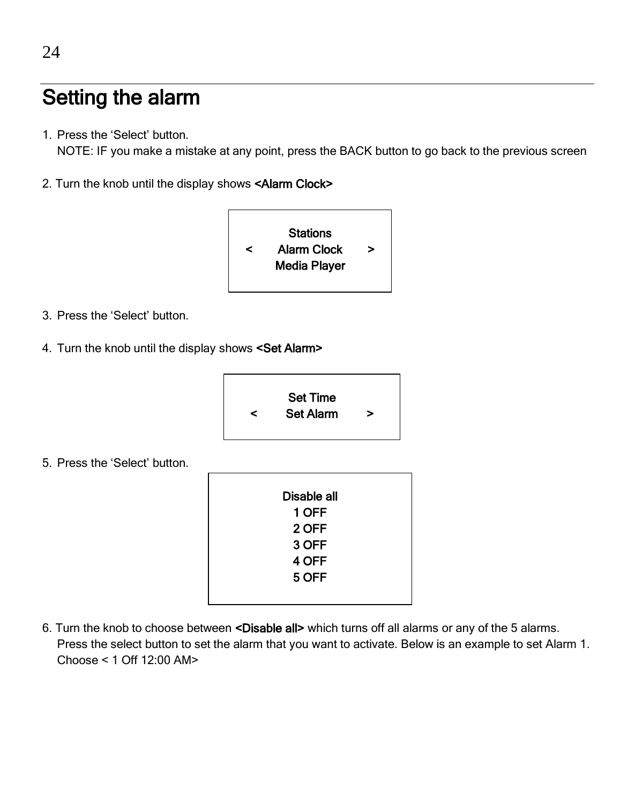### Setting the alarm

1. Press the 'Select' button.

NOTE: IF you make a mistake at any point, press the BACK button to go back to the previous screen

2. Turn the knob until the display shows <Alarm Clock>



- 3. Press the 'Select' button.
- 4. Turn the knob until the display shows <Set Alarm>



5. Press the 'Select' button.

| Disable all |
|-------------|
| 1 OFF       |
| 2 OFF       |
| 3 OFF       |
| 4 OFF       |
| 5 OFF       |
|             |
|             |

6. Turn the knob to choose between <Disable all> which turns off all alarms or any of the 5 alarms. Press the select button to set the alarm that you want to activate. Below is an example to set Alarm 1. Choose < 1 Off 12:00 AM>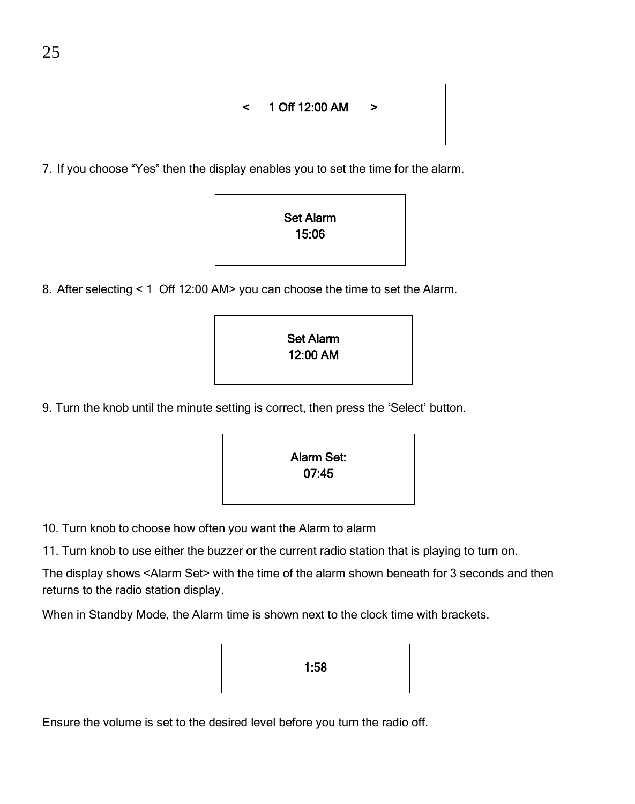#### < 1 Off 12:00 AM >

7. If you choose "Yes" then the display enables you to set the time for the alarm.



8. After selecting < 1 Off 12:00 AM> you can choose the time to set the Alarm.

| <b>Set Alarm</b> |  |
|------------------|--|
| 12:00 AM         |  |
|                  |  |
|                  |  |

9. Turn the knob until the minute setting is correct, then press the 'Select' button.

| Alarm Set: |
|------------|
| 07:45      |
|            |
|            |

- 10. Turn knob to choose how often you want the Alarm to alarm
- 11. Turn knob to use either the buzzer or the current radio station that is playing to turn on.

The display shows <Alarm Set> with the time of the alarm shown beneath for 3 seconds and then returns to the radio station display.

When in Standby Mode, the Alarm time is shown next to the clock time with brackets.

| 1:58 |
|------|
|------|

Ensure the volume is set to the desired level before you turn the radio off.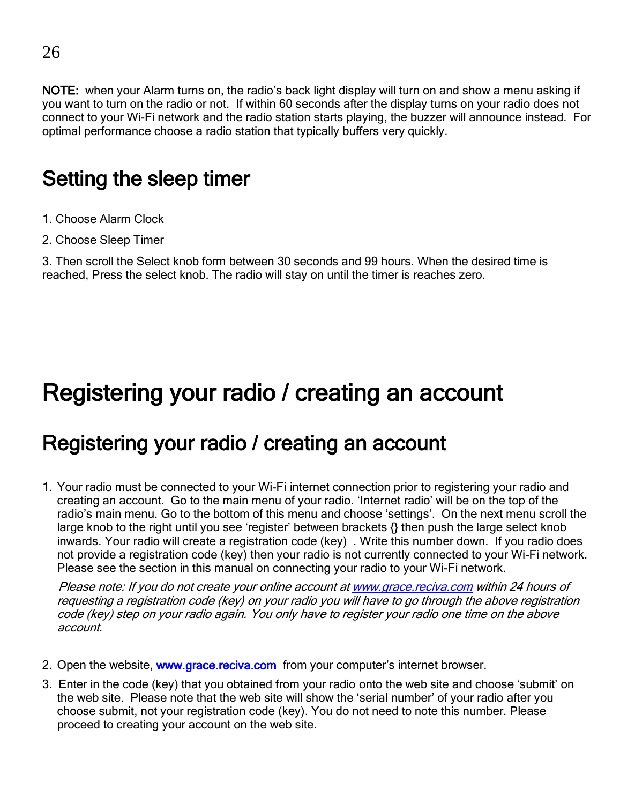NOTE: when your Alarm turns on, the radio's back light display will turn on and show a menu asking if you want to turn on the radio or not. If within 60 seconds after the display turns on your radio does not connect to your Wi-Fi network and the radio station starts playing, the buzzer will announce instead. For optimal performance choose a radio station that typically buffers very quickly.

### Setting the sleep timer

- 1. Choose Alarm Clock
- 2. Choose Sleep Timer

3. Then scroll the Select knob form between 30 seconds and 99 hours. When the desired time is reached, Press the select knob. The radio will stay on until the timer is reaches zero.

### Registering your radio / creating an account

### Registering your radio / creating an account

1. Your radio must be connected to your Wi-Fi internet connection prior to registering your radio and creating an account. Go to the main menu of your radio. 'Internet radio' will be on the top of the radio's main menu. Go to the bottom of this menu and choose 'settings'. On the next menu scroll the large knob to the right until you see 'register' between brackets {} then push the large select knob inwards. Your radio will create a registration code (key) . Write this number down. If you radio does not provide a registration code (key) then your radio is not currently connected to your Wi-Fi network. Please see the section in this manual on connecting your radio to your Wi-Fi network.

 Please note: If you do not create your online account a[t www.grace.reciva.com](http://www.grace.reciva.com/) within 24 hours of requesting a registration code (key) on your radio you will have to go through the above registration code (key) step on your radio again. You only have to register your radio one time on the above account.

- 2. Open the website, **www.grace.reciva.com** from your computer's internet browser.
- 3. Enter in the code (key) that you obtained from your radio onto the web site and choose 'submit' on the web site. Please note that the web site will show the 'serial number' of your radio after you choose submit, not your registration code (key). You do not need to note this number. Please proceed to creating your account on the web site.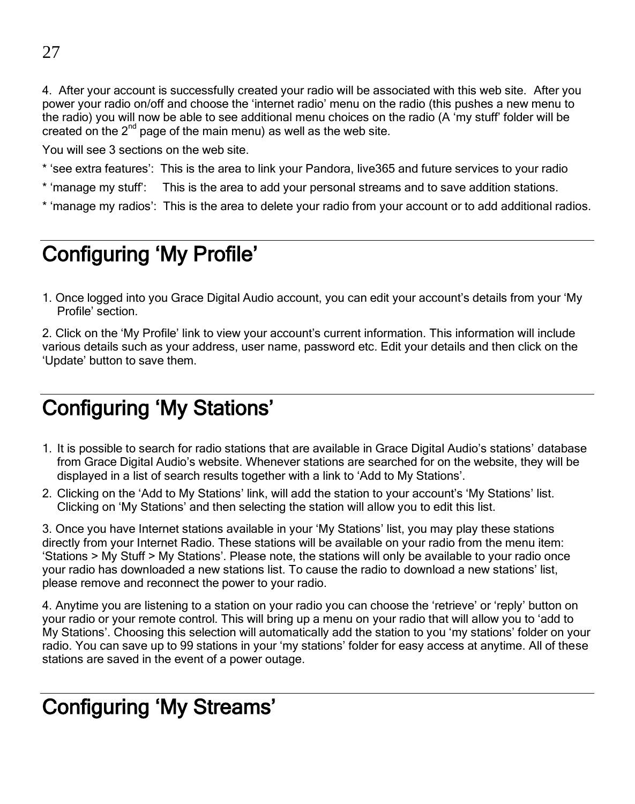4. After your account is successfully created your radio will be associated with this web site. After you power your radio on/off and choose the 'internet radio' menu on the radio (this pushes a new menu to the radio) you will now be able to see additional menu choices on the radio (A 'my stuff' folder will be created on the  $2<sup>nd</sup>$  page of the main menu) as well as the web site.

You will see 3 sections on the web site.

- \* 'see extra features': This is the area to link your Pandora, live365 and future services to your radio
- \* 'manage my stuff': This is the area to add your personal streams and to save addition stations.
- \* 'manage my radios': This is the area to delete your radio from your account or to add additional radios.

### Configuring 'My Profile'

1. Once logged into you Grace Digital Audio account, you can edit your account's details from your 'My Profile' section.

2. Click on the 'My Profile' link to view your account's current information. This information will include various details such as your address, user name, password etc. Edit your details and then click on the 'Update' button to save them.

### Configuring 'My Stations'

- 1. It is possible to search for radio stations that are available in Grace Digital Audio's stations' database from Grace Digital Audio's website. Whenever stations are searched for on the website, they will be displayed in a list of search results together with a link to 'Add to My Stations'.
- 2. Clicking on the 'Add to My Stations' link, will add the station to your account's 'My Stations' list. Clicking on 'My Stations' and then selecting the station will allow you to edit this list.

3. Once you have Internet stations available in your 'My Stations' list, you may play these stations directly from your Internet Radio. These stations will be available on your radio from the menu item: 'Stations > My Stuff > My Stations'. Please note, the stations will only be available to your radio once your radio has downloaded a new stations list. To cause the radio to download a new stations' list, please remove and reconnect the power to your radio.

4. Anytime you are listening to a station on your radio you can choose the 'retrieve' or 'reply' button on your radio or your remote control. This will bring up a menu on your radio that will allow you to 'add to My Stations'. Choosing this selection will automatically add the station to you 'my stations' folder on your radio. You can save up to 99 stations in your 'my stations' folder for easy access at anytime. All of these stations are saved in the event of a power outage.

### Configuring 'My Streams'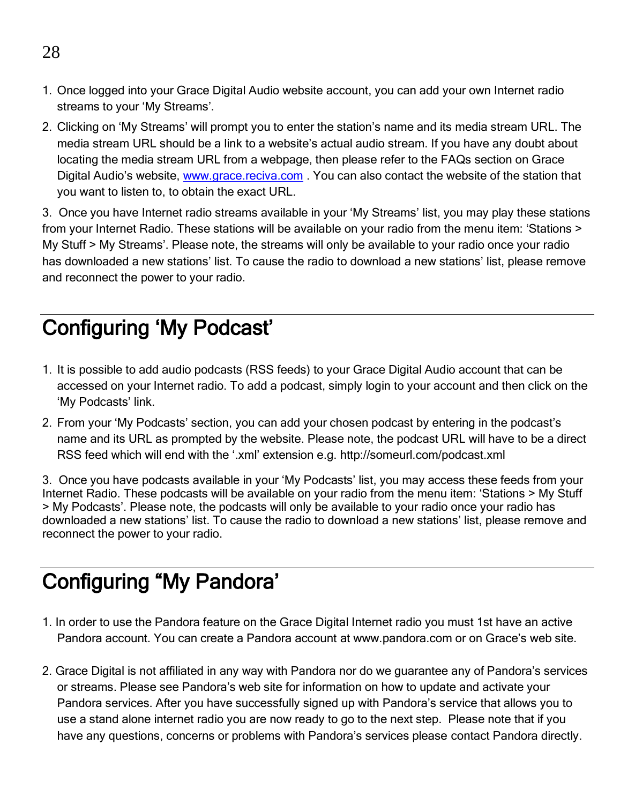- 1. Once logged into your Grace Digital Audio website account, you can add your own Internet radio streams to your 'My Streams'.
- 2. Clicking on 'My Streams' will prompt you to enter the station's name and its media stream URL. The media stream URL should be a link to a website's actual audio stream. If you have any doubt about locating the media stream URL from a webpage, then please refer to the FAQs section on Grace Digital Audio's website, [www.grace.reciva.com](http://www.grace.reciva.com/) . You can also contact the website of the station that you want to listen to, to obtain the exact URL.

3. Once you have Internet radio streams available in your 'My Streams' list, you may play these stations from your Internet Radio. These stations will be available on your radio from the menu item: 'Stations > My Stuff > My Streams'. Please note, the streams will only be available to your radio once your radio has downloaded a new stations' list. To cause the radio to download a new stations' list, please remove and reconnect the power to your radio.

### Configuring 'My Podcast'

- 1. It is possible to add audio podcasts (RSS feeds) to your Grace Digital Audio account that can be accessed on your Internet radio. To add a podcast, simply login to your account and then click on the 'My Podcasts' link.
- 2. From your 'My Podcasts' section, you can add your chosen podcast by entering in the podcast's name and its URL as prompted by the website. Please note, the podcast URL will have to be a direct RSS feed which will end with the '.xml' extension e.g. http://someurl.com/podcast.xml

3. Once you have podcasts available in your 'My Podcasts' list, you may access these feeds from your Internet Radio. These podcasts will be available on your radio from the menu item: 'Stations > My Stuff > My Podcasts'. Please note, the podcasts will only be available to your radio once your radio has downloaded a new stations' list. To cause the radio to download a new stations' list, please remove and reconnect the power to your radio.

### Configuring "My Pandora'

- 1. In order to use the Pandora feature on the Grace Digital Internet radio you must 1st have an active Pandora account. You can create a Pandora account at www.pandora.com or on Grace's web site.
- 2. Grace Digital is not affiliated in any way with Pandora nor do we guarantee any of Pandora's services or streams. Please see Pandora's web site for information on how to update and activate your Pandora services. After you have successfully signed up with Pandora's service that allows you to use a stand alone internet radio you are now ready to go to the next step. Please note that if you have any questions, concerns or problems with Pandora's services please contact Pandora directly.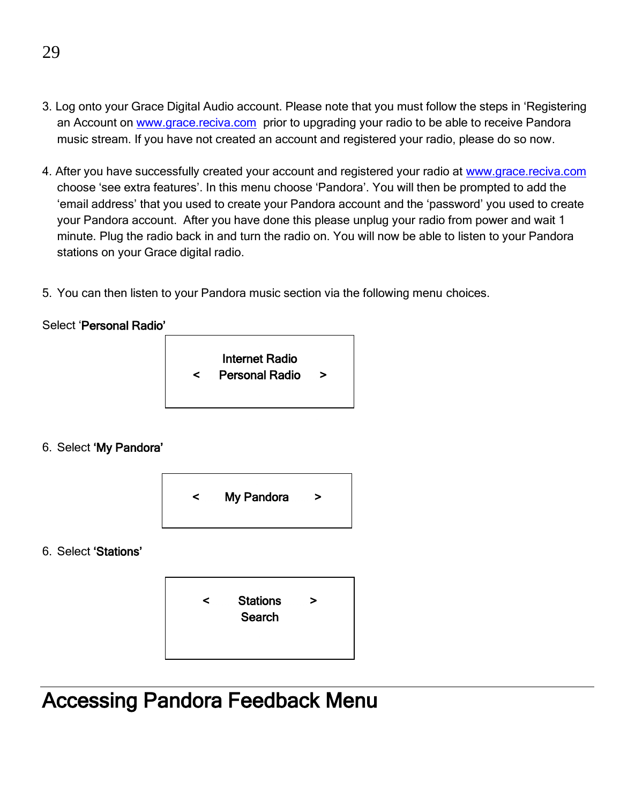- 3. Log onto your Grace Digital Audio account. Please note that you must follow the steps in 'Registering an Account o[n www.grace.reciva.com](http://www.grace.reciva.com/) prior to upgrading your radio to be able to receive Pandora music stream. If you have not created an account and registered your radio, please do so now.
- 4. After you have successfully created your account and registered your radio a[t www.grace.reciva.com](http://www.grace.reciva.com/) choose 'see extra features'. In this menu choose 'Pandora'. You will then be prompted to add the 'email address' that you used to create your Pandora account and the 'password' you used to create your Pandora account. After you have done this please unplug your radio from power and wait 1 minute. Plug the radio back in and turn the radio on. You will now be able to listen to your Pandora stations on your Grace digital radio.
- 5. You can then listen to your Pandora music section via the following menu choices.

#### Select 'Personal Radio'



#### 6. Select 'My Pandora'



6. Select 'Stations'



Accessing Pandora Feedback Menu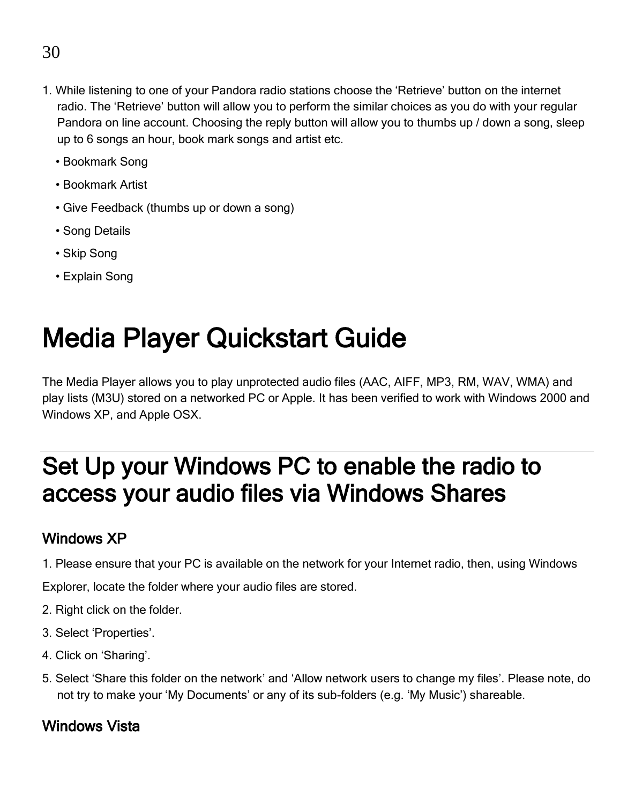- 1. While listening to one of your Pandora radio stations choose the 'Retrieve' button on the internet radio. The 'Retrieve' button will allow you to perform the similar choices as you do with your regular Pandora on line account. Choosing the reply button will allow you to thumbs up / down a song, sleep up to 6 songs an hour, book mark songs and artist etc.
	- Bookmark Song
	- Bookmark Artist
	- Give Feedback (thumbs up or down a song)
	- Song Details
	- Skip Song
	- Explain Song

## Media Player Quickstart Guide

The Media Player allows you to play unprotected audio files (AAC, AIFF, MP3, RM, WAV, WMA) and play lists (M3U) stored on a networked PC or Apple. It has been verified to work with Windows 2000 and Windows XP, and Apple OSX.

### Set Up your Windows PC to enable the radio to access your audio files via Windows Shares

#### Windows XP

1. Please ensure that your PC is available on the network for your Internet radio, then, using Windows

Explorer, locate the folder where your audio files are stored.

- 2. Right click on the folder.
- 3. Select 'Properties'.
- 4. Click on 'Sharing'.
- 5. Select 'Share this folder on the network' and 'Allow network users to change my files'. Please note, do not try to make your 'My Documents' or any of its sub-folders (e.g. 'My Music') shareable.

#### Windows Vista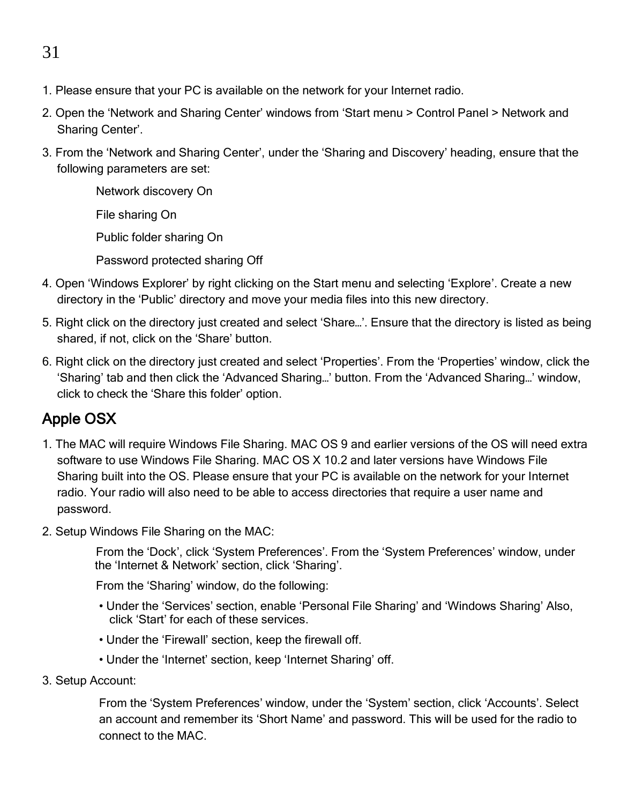#### 31

- 1. Please ensure that your PC is available on the network for your Internet radio.
- 2. Open the 'Network and Sharing Center' windows from 'Start menu > Control Panel > Network and Sharing Center'.
- 3. From the 'Network and Sharing Center', under the 'Sharing and Discovery' heading, ensure that the following parameters are set:

Network discovery On File sharing On Public folder sharing On Password protected sharing Off

- 4. Open 'Windows Explorer' by right clicking on the Start menu and selecting 'Explore'. Create a new directory in the 'Public' directory and move your media files into this new directory.
- 5. Right click on the directory just created and select 'Share…'. Ensure that the directory is listed as being shared, if not, click on the 'Share' button.
- 6. Right click on the directory just created and select 'Properties'. From the 'Properties' window, click the 'Sharing' tab and then click the 'Advanced Sharing…' button. From the 'Advanced Sharing…' window, click to check the 'Share this folder' option.

#### Apple OSX

- 1. The MAC will require Windows File Sharing. MAC OS 9 and earlier versions of the OS will need extra software to use Windows File Sharing. MAC OS X 10.2 and later versions have Windows File Sharing built into the OS. Please ensure that your PC is available on the network for your Internet radio. Your radio will also need to be able to access directories that require a user name and password.
- 2. Setup Windows File Sharing on the MAC:

From the 'Dock', click 'System Preferences'. From the 'System Preferences' window, under the 'Internet & Network' section, click 'Sharing'.

From the 'Sharing' window, do the following:

- Under the 'Services' section, enable 'Personal File Sharing' and 'Windows Sharing' Also, click 'Start' for each of these services.
- Under the 'Firewall' section, keep the firewall off.
- Under the 'Internet' section, keep 'Internet Sharing' off.
- 3. Setup Account:

From the 'System Preferences' window, under the 'System' section, click 'Accounts'. Select an account and remember its 'Short Name' and password. This will be used for the radio to connect to the MAC.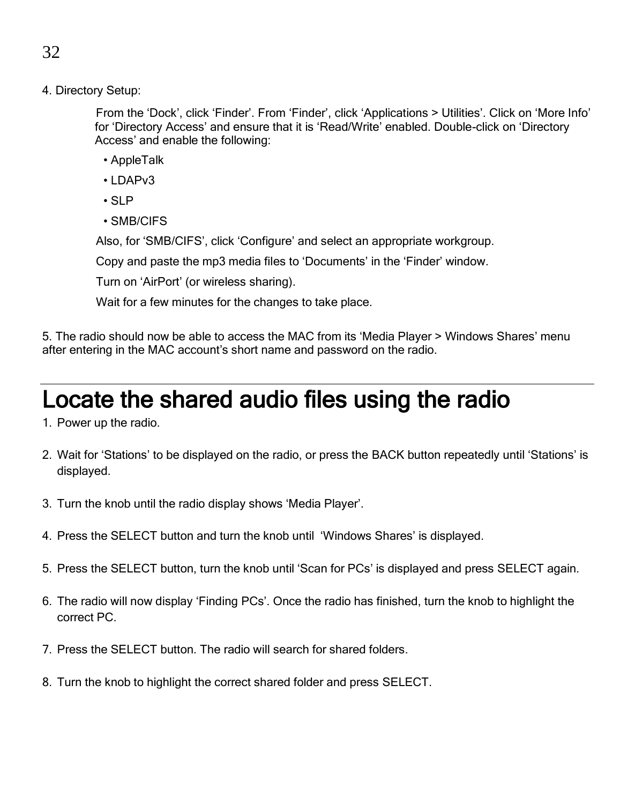4. Directory Setup:

From the 'Dock', click 'Finder'. From 'Finder', click 'Applications > Utilities'. Click on 'More Info' for 'Directory Access' and ensure that it is 'Read/Write' enabled. Double-click on 'Directory Access' and enable the following:

- AppleTalk
- LDAPv3
- SLP
- SMB/CIFS

Also, for 'SMB/CIFS', click 'Configure' and select an appropriate workgroup.

Copy and paste the mp3 media files to 'Documents' in the 'Finder' window.

Turn on 'AirPort' (or wireless sharing).

Wait for a few minutes for the changes to take place.

5. The radio should now be able to access the MAC from its 'Media Player > Windows Shares' menu after entering in the MAC account's short name and password on the radio.

### Locate the shared audio files using the radio

- 1. Power up the radio.
- 2. Wait for 'Stations' to be displayed on the radio, or press the BACK button repeatedly until 'Stations' is displayed.
- 3. Turn the knob until the radio display shows 'Media Player'.
- 4. Press the SELECT button and turn the knob until 'Windows Shares' is displayed.
- 5. Press the SELECT button, turn the knob until 'Scan for PCs' is displayed and press SELECT again.
- 6. The radio will now display 'Finding PCs'. Once the radio has finished, turn the knob to highlight the correct PC.
- 7. Press the SELECT button. The radio will search for shared folders.
- 8. Turn the knob to highlight the correct shared folder and press SELECT.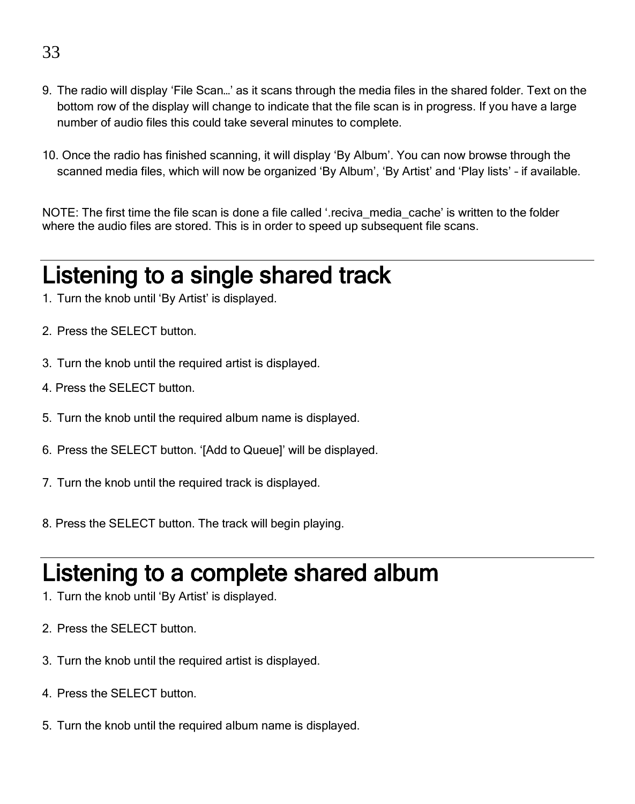- 9. The radio will display 'File Scan…' as it scans through the media files in the shared folder. Text on the bottom row of the display will change to indicate that the file scan is in progress. If you have a large number of audio files this could take several minutes to complete.
- 10. Once the radio has finished scanning, it will display 'By Album'. You can now browse through the scanned media files, which will now be organized 'By Album', 'By Artist' and 'Play lists' – if available.

NOTE: The first time the file scan is done a file called '.reciva media cache' is written to the folder where the audio files are stored. This is in order to speed up subsequent file scans.

### Listening to a single shared track

- 1. Turn the knob until 'By Artist' is displayed.
- 2. Press the SELECT button.
- 3. Turn the knob until the required artist is displayed.
- 4. Press the SELECT button.
- 5. Turn the knob until the required album name is displayed.
- 6. Press the SELECT button. '[Add to Queue]' will be displayed.
- 7. Turn the knob until the required track is displayed.
- 8. Press the SELECT button. The track will begin playing.

## Listening to a complete shared album

- 1. Turn the knob until 'By Artist' is displayed.
- 2. Press the SELECT button.
- 3. Turn the knob until the required artist is displayed.
- 4. Press the SELECT button.
- 5. Turn the knob until the required album name is displayed.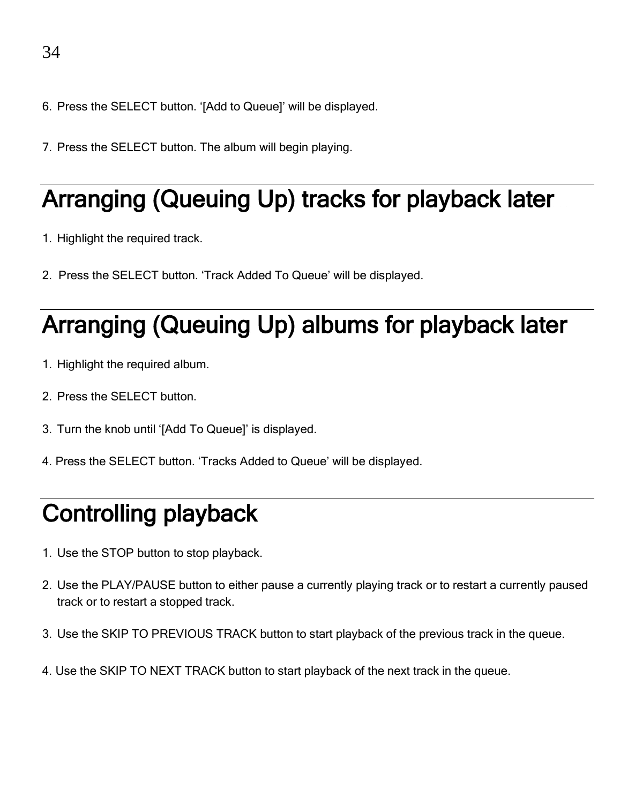- 6. Press the SELECT button. '[Add to Queue]' will be displayed.
- 7. Press the SELECT button. The album will begin playing.

## Arranging (Queuing Up) tracks for playback later

- 1. Highlight the required track.
- 2. Press the SELECT button. 'Track Added To Queue' will be displayed.

## Arranging (Queuing Up) albums for playback later

- 1. Highlight the required album.
- 2. Press the SELECT button.
- 3. Turn the knob until '[Add To Queue]' is displayed.
- 4. Press the SELECT button. 'Tracks Added to Queue' will be displayed.

## Controlling playback

- 1. Use the STOP button to stop playback.
- 2. Use the PLAY/PAUSE button to either pause a currently playing track or to restart a currently paused track or to restart a stopped track.
- 3. Use the SKIP TO PREVIOUS TRACK button to start playback of the previous track in the queue.
- 4. Use the SKIP TO NEXT TRACK button to start playback of the next track in the queue.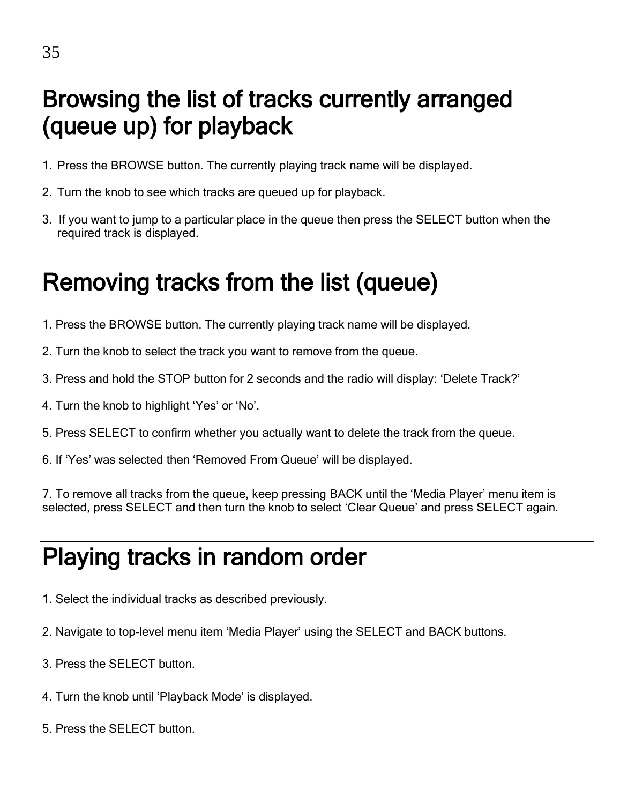### Browsing the list of tracks currently arranged (queue up) for playback

- 1. Press the BROWSE button. The currently playing track name will be displayed.
- 2. Turn the knob to see which tracks are queued up for playback.
- 3. If you want to jump to a particular place in the queue then press the SELECT button when the required track is displayed.

### Removing tracks from the list (queue)

- 1. Press the BROWSE button. The currently playing track name will be displayed.
- 2. Turn the knob to select the track you want to remove from the queue.
- 3. Press and hold the STOP button for 2 seconds and the radio will display: 'Delete Track?'
- 4. Turn the knob to highlight 'Yes' or 'No'.
- 5. Press SELECT to confirm whether you actually want to delete the track from the queue.
- 6. If 'Yes' was selected then 'Removed From Queue' will be displayed.

7. To remove all tracks from the queue, keep pressing BACK until the 'Media Player' menu item is selected, press SELECT and then turn the knob to select 'Clear Queue' and press SELECT again.

## Playing tracks in random order

- 1. Select the individual tracks as described previously.
- 2. Navigate to top-level menu item 'Media Player' using the SELECT and BACK buttons.
- 3. Press the SELECT button.
- 4. Turn the knob until 'Playback Mode' is displayed.
- 5. Press the SELECT button.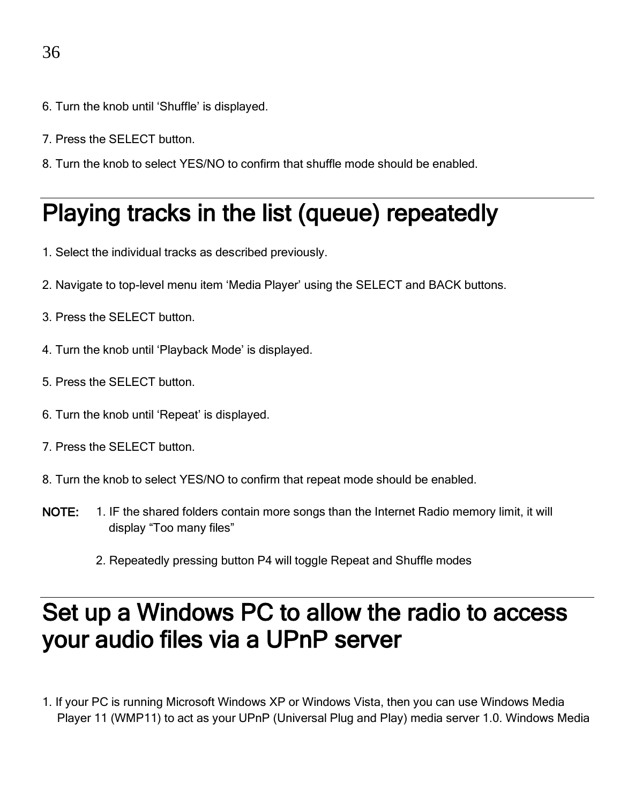- 6. Turn the knob until 'Shuffle' is displayed.
- 7. Press the SELECT button.
- 8. Turn the knob to select YES/NO to confirm that shuffle mode should be enabled.

### Playing tracks in the list (queue) repeatedly

- 1. Select the individual tracks as described previously.
- 2. Navigate to top-level menu item 'Media Player' using the SELECT and BACK buttons.
- 3. Press the SELECT button.
- 4. Turn the knob until 'Playback Mode' is displayed.
- 5. Press the SELECT button.
- 6. Turn the knob until 'Repeat' is displayed.
- 7. Press the SELECT button.
- 8. Turn the knob to select YES/NO to confirm that repeat mode should be enabled.
- NOTE: 1. IF the shared folders contain more songs than the Internet Radio memory limit, it will display "Too many files"
	- 2. Repeatedly pressing button P4 will toggle Repeat and Shuffle modes

### Set up a Windows PC to allow the radio to access your audio files via a UPnP server

1. If your PC is running Microsoft Windows XP or Windows Vista, then you can use Windows Media Player 11 (WMP11) to act as your UPnP (Universal Plug and Play) media server 1.0. Windows Media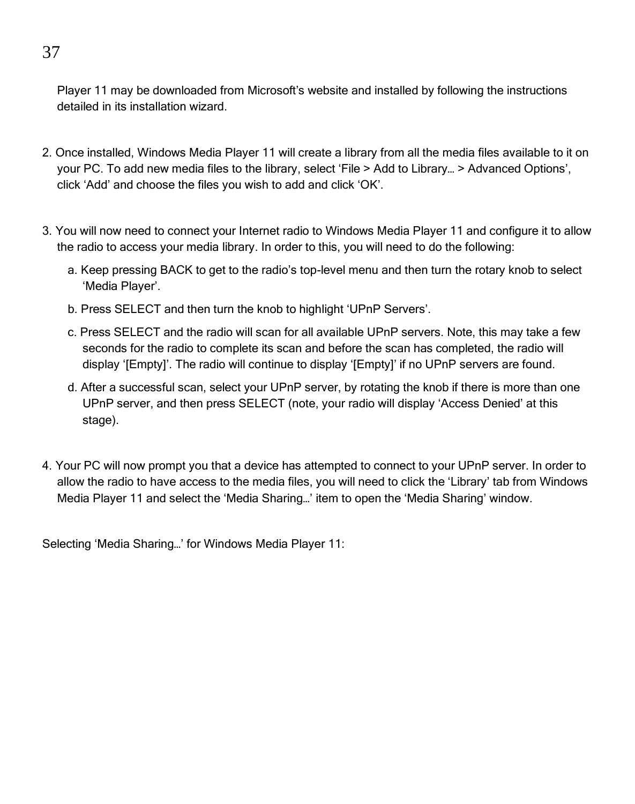Player 11 may be downloaded from Microsoft's website and installed by following the instructions detailed in its installation wizard.

- 2. Once installed, Windows Media Player 11 will create a library from all the media files available to it on your PC. To add new media files to the library, select 'File > Add to Library… > Advanced Options', click 'Add' and choose the files you wish to add and click 'OK'.
- 3. You will now need to connect your Internet radio to Windows Media Player 11 and configure it to allow the radio to access your media library. In order to this, you will need to do the following:
	- a. Keep pressing BACK to get to the radio's top-level menu and then turn the rotary knob to select 'Media Player'.
	- b. Press SELECT and then turn the knob to highlight 'UPnP Servers'.
	- c. Press SELECT and the radio will scan for all available UPnP servers. Note, this may take a few seconds for the radio to complete its scan and before the scan has completed, the radio will display '[Empty]'. The radio will continue to display '[Empty]' if no UPnP servers are found.
	- d. After a successful scan, select your UPnP server, by rotating the knob if there is more than one UPnP server, and then press SELECT (note, your radio will display 'Access Denied' at this stage).
- 4. Your PC will now prompt you that a device has attempted to connect to your UPnP server. In order to allow the radio to have access to the media files, you will need to click the 'Library' tab from Windows Media Player 11 and select the 'Media Sharing…' item to open the 'Media Sharing' window.

Selecting 'Media Sharing…' for Windows Media Player 11:

37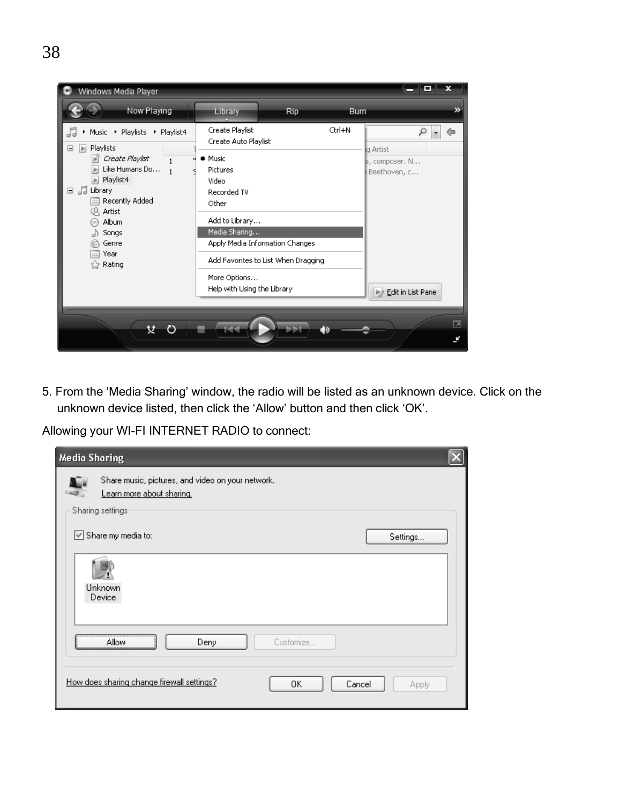

5. From the 'Media Sharing' window, the radio will be listed as an unknown device. Click on the unknown device listed, then click the 'Allow' button and then click 'OK'.

Allowing your WI-FI INTERNET RADIO to connect:

| <b>Media Sharing</b>                                                                               |  |
|----------------------------------------------------------------------------------------------------|--|
| Share music, pictures, and video on your network.<br>Learn more about sharing.<br>Sharing settings |  |
| Share my media to:<br>Settings                                                                     |  |
| Unknown<br>Device                                                                                  |  |
| Customize<br>Deny<br>Allow                                                                         |  |
| How does sharing change firewall settings?<br>OK.<br>Cancel<br>Apply                               |  |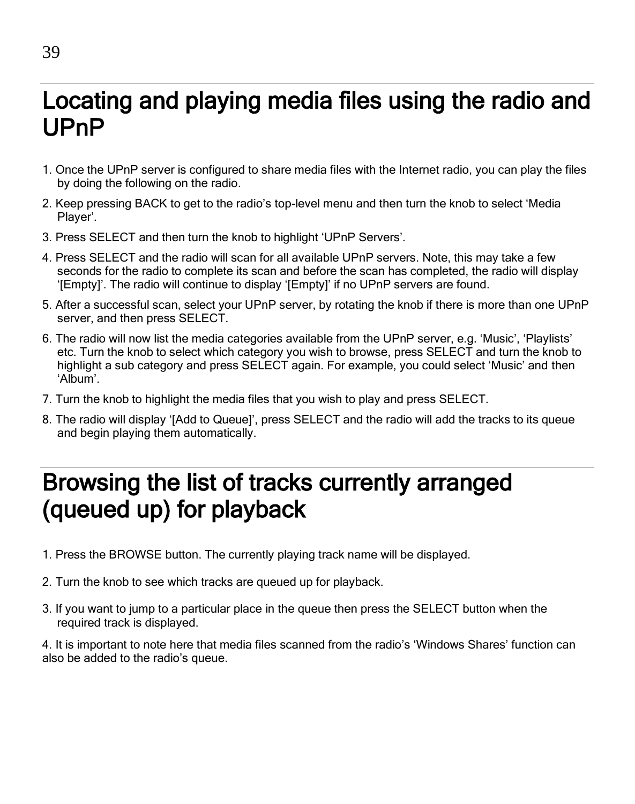### Locating and playing media files using the radio and UPnP

- 1. Once the UPnP server is configured to share media files with the Internet radio, you can play the files by doing the following on the radio.
- 2. Keep pressing BACK to get to the radio's top-level menu and then turn the knob to select 'Media Player'.
- 3. Press SELECT and then turn the knob to highlight 'UPnP Servers'.
- 4. Press SELECT and the radio will scan for all available UPnP servers. Note, this may take a few seconds for the radio to complete its scan and before the scan has completed, the radio will display '[Empty]'. The radio will continue to display '[Empty]' if no UPnP servers are found.
- 5. After a successful scan, select your UPnP server, by rotating the knob if there is more than one UPnP server, and then press SELECT.
- 6. The radio will now list the media categories available from the UPnP server, e.g. 'Music', 'Playlists' etc. Turn the knob to select which category you wish to browse, press SELECT and turn the knob to highlight a sub category and press SELECT again. For example, you could select 'Music' and then 'Album'.
- 7. Turn the knob to highlight the media files that you wish to play and press SELECT.
- 8. The radio will display '[Add to Queue]', press SELECT and the radio will add the tracks to its queue and begin playing them automatically.

### Browsing the list of tracks currently arranged (queued up) for playback

- 1. Press the BROWSE button. The currently playing track name will be displayed.
- 2. Turn the knob to see which tracks are queued up for playback.
- 3. If you want to jump to a particular place in the queue then press the SELECT button when the required track is displayed.

4. It is important to note here that media files scanned from the radio's 'Windows Shares' function can also be added to the radio's queue.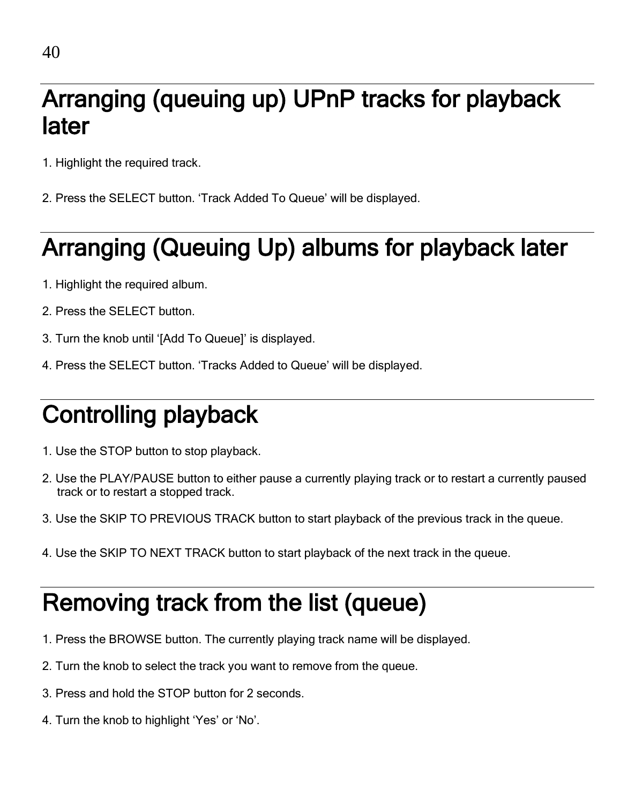### Arranging (queuing up) UPnP tracks for playback later

- 1. Highlight the required track.
- 2. Press the SELECT button. 'Track Added To Queue' will be displayed.

## Arranging (Queuing Up) albums for playback later

- 1. Highlight the required album.
- 2. Press the SELECT button.
- 3. Turn the knob until '[Add To Queue]' is displayed.
- 4. Press the SELECT button. 'Tracks Added to Queue' will be displayed.

## Controlling playback

- 1. Use the STOP button to stop playback.
- 2. Use the PLAY/PAUSE button to either pause a currently playing track or to restart a currently paused track or to restart a stopped track.
- 3. Use the SKIP TO PREVIOUS TRACK button to start playback of the previous track in the queue.
- 4. Use the SKIP TO NEXT TRACK button to start playback of the next track in the queue.

### Removing track from the list (queue)

- 1. Press the BROWSE button. The currently playing track name will be displayed.
- 2. Turn the knob to select the track you want to remove from the queue.
- 3. Press and hold the STOP button for 2 seconds.
- 4. Turn the knob to highlight 'Yes' or 'No'.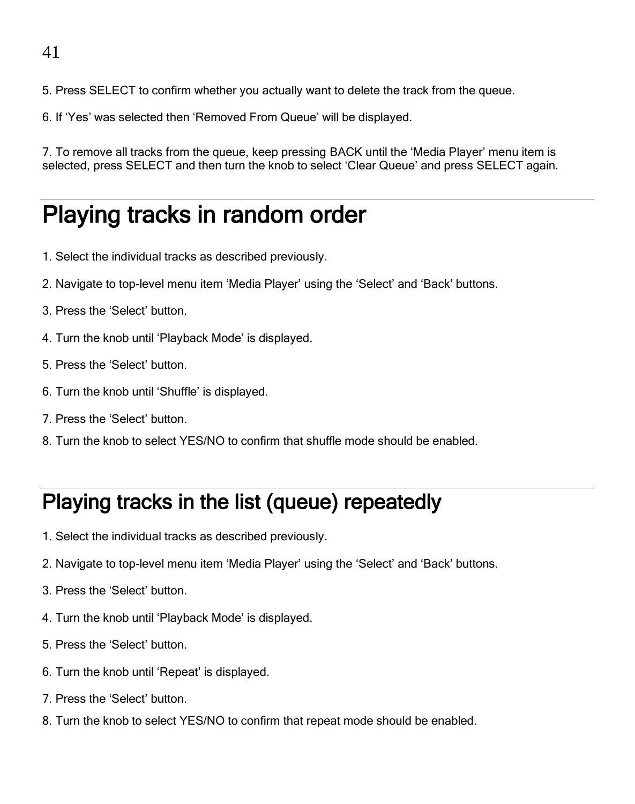#### 41

- 5. Press SELECT to confirm whether you actually want to delete the track from the queue.
- 6. If 'Yes' was selected then 'Removed From Queue' will be displayed.

7. To remove all tracks from the queue, keep pressing BACK until the 'Media Player' menu item is selected, press SELECT and then turn the knob to select 'Clear Queue' and press SELECT again.

### Playing tracks in random order

- 1. Select the individual tracks as described previously.
- 2. Navigate to top-level menu item 'Media Player' using the 'Select' and 'Back' buttons.
- 3. Press the 'Select' button.
- 4. Turn the knob until 'Playback Mode' is displayed.
- 5. Press the 'Select' button.
- 6. Turn the knob until 'Shuffle' is displayed.
- 7. Press the 'Select' button.
- 8. Turn the knob to select YES/NO to confirm that shuffle mode should be enabled.

#### Playing tracks in the list (queue) repeatedly

- 1. Select the individual tracks as described previously.
- 2. Navigate to top-level menu item 'Media Player' using the 'Select' and 'Back' buttons.
- 3. Press the 'Select' button.
- 4. Turn the knob until 'Playback Mode' is displayed.
- 5. Press the 'Select' button.
- 6. Turn the knob until 'Repeat' is displayed.
- 7. Press the 'Select' button.
- 8. Turn the knob to select YES/NO to confirm that repeat mode should be enabled.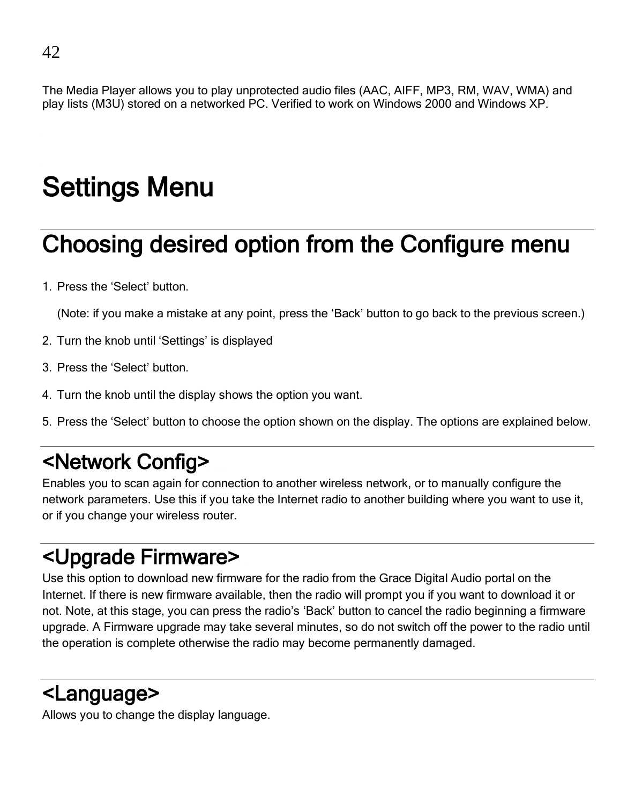The Media Player allows you to play unprotected audio files (AAC, AIFF, MP3, RM, WAV, WMA) and play lists (M3U) stored on a networked PC. Verified to work on Windows 2000 and Windows XP.

## Settings Menu

## Choosing desired option from the Configure menu

1. Press the 'Select' button.

(Note: if you make a mistake at any point, press the 'Back' button to go back to the previous screen.)

- 2. Turn the knob until 'Settings' is displayed
- 3. Press the 'Select' button.
- 4. Turn the knob until the display shows the option you want.
- 5. Press the 'Select' button to choose the option shown on the display. The options are explained below.

### <Network Config>

Enables you to scan again for connection to another wireless network, or to manually configure the network parameters. Use this if you take the Internet radio to another building where you want to use it, or if you change your wireless router.

### <Upgrade Firmware>

Use this option to download new firmware for the radio from the Grace Digital Audio portal on the Internet. If there is new firmware available, then the radio will prompt you if you want to download it or not. Note, at this stage, you can press the radio's 'Back' button to cancel the radio beginning a firmware upgrade. A Firmware upgrade may take several minutes, so do not switch off the power to the radio until the operation is complete otherwise the radio may become permanently damaged.

### <Language>

Allows you to change the display language.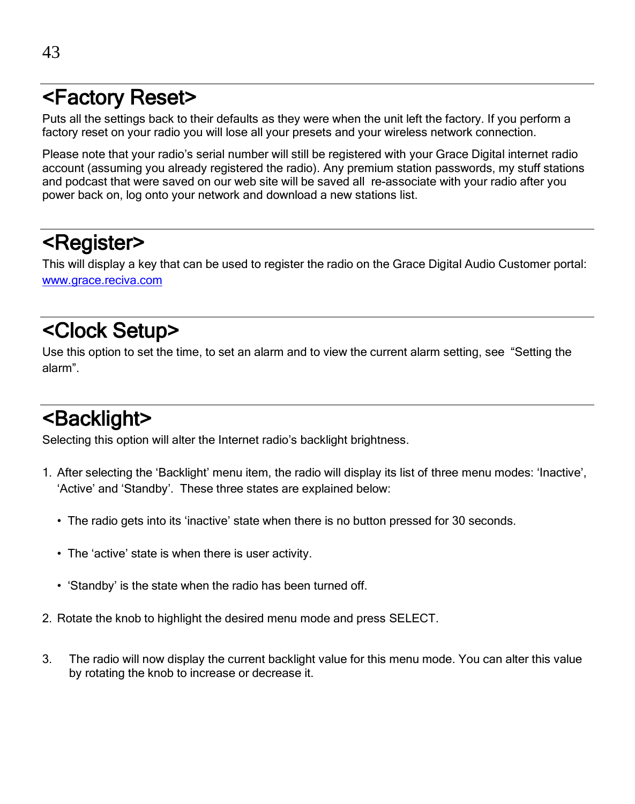### <Factory Reset>

Puts all the settings back to their defaults as they were when the unit left the factory. If you perform a factory reset on your radio you will lose all your presets and your wireless network connection.

Please note that your radio's serial number will still be registered with your Grace Digital internet radio account (assuming you already registered the radio). Any premium station passwords, my stuff stations and podcast that were saved on our web site will be saved all re-associate with your radio after you power back on, log onto your network and download a new stations list.

### <Register>

This will display a key that can be used to register the radio on the Grace Digital Audio Customer portal: [www.grace.reciva.com](http://www.grace.reciva.com/)

### <Clock Setup>

Use this option to set the time, to set an alarm and to view the current alarm setting, see "Setting the alarm".

### <Backlight>

Selecting this option will alter the Internet radio's backlight brightness.

- 1. After selecting the 'Backlight' menu item, the radio will display its list of three menu modes: 'Inactive', 'Active' and 'Standby'. These three states are explained below:
	- The radio gets into its 'inactive' state when there is no button pressed for 30 seconds.
	- The 'active' state is when there is user activity.
	- 'Standby' is the state when the radio has been turned off.
- 2. Rotate the knob to highlight the desired menu mode and press SELECT.
- 3. The radio will now display the current backlight value for this menu mode. You can alter this value by rotating the knob to increase or decrease it.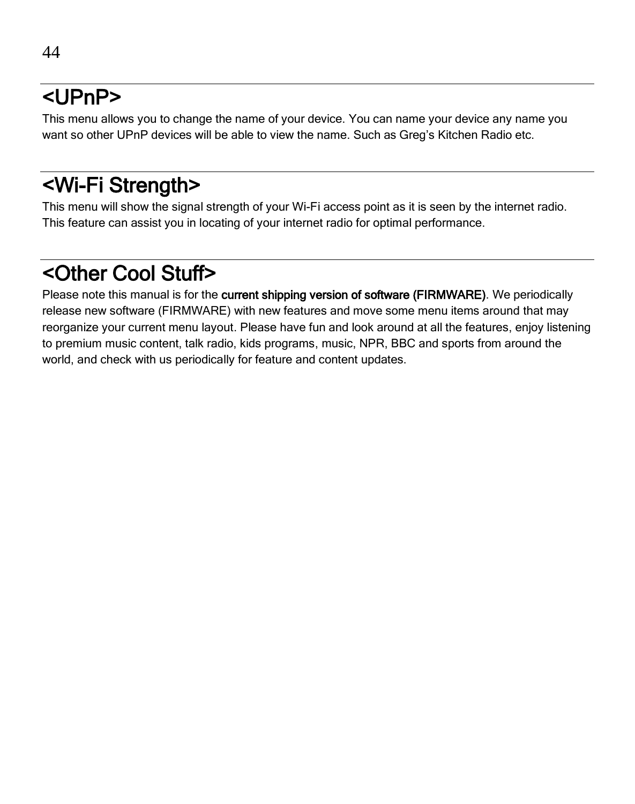44

This menu allows you to change the name of your device. You can name your device any name you want so other UPnP devices will be able to view the name. Such as Greg's Kitchen Radio etc.

### <Wi-Fi Strength>

This menu will show the signal strength of your Wi-Fi access point as it is seen by the internet radio. This feature can assist you in locating of your internet radio for optimal performance.

### <Other Cool Stuff>

Please note this manual is for the current shipping version of software (FIRMWARE). We periodically release new software (FIRMWARE) with new features and move some menu items around that may reorganize your current menu layout. Please have fun and look around at all the features, enjoy listening to premium music content, talk radio, kids programs, music, NPR, BBC and sports from around the world, and check with us periodically for feature and content updates.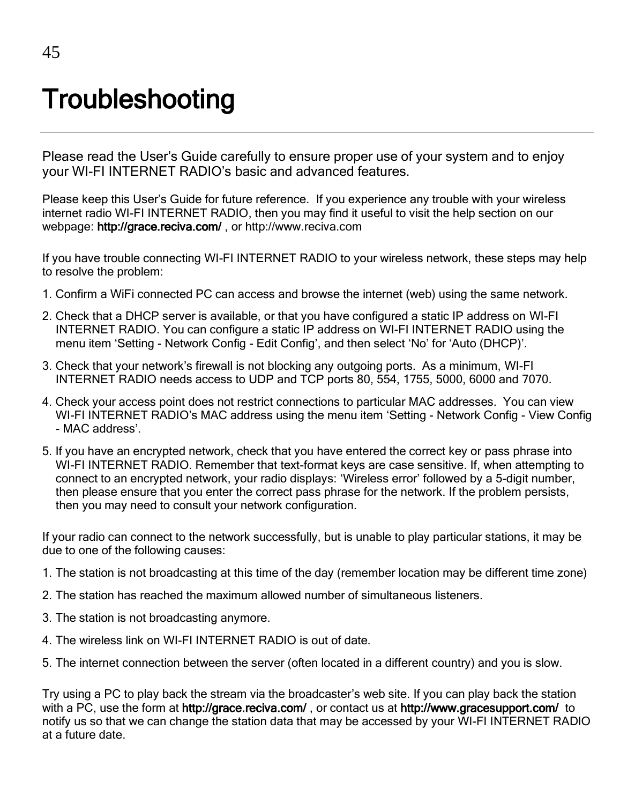## **Troubleshooting**

Please read the User's Guide carefully to ensure proper use of your system and to enjoy your WI-FI INTERNET RADIO's basic and advanced features.

Please keep this User's Guide for future reference. If you experience any trouble with your wireless internet radio WI-FI INTERNET RADIO, then you may find it useful to visit the help section on our webpage: http://grace.reciva.com/ , or http://www.reciva.com

If you have trouble connecting WI-FI INTERNET RADIO to your wireless network, these steps may help to resolve the problem:

- 1. Confirm a WiFi connected PC can access and browse the internet (web) using the same network.
- 2. Check that a DHCP server is available, or that you have configured a static IP address on WI-FI INTERNET RADIO. You can configure a static IP address on WI-FI INTERNET RADIO using the menu item 'Setting - Network Config - Edit Config', and then select 'No' for 'Auto (DHCP)'.
- 3. Check that your network's firewall is not blocking any outgoing ports. As a minimum, WI-FI INTERNET RADIO needs access to UDP and TCP ports 80, 554, 1755, 5000, 6000 and 7070.
- 4. Check your access point does not restrict connections to particular MAC addresses. You can view WI-FI INTERNET RADIO's MAC address using the menu item 'Setting - Network Config - View Config - MAC address'.
- 5. If you have an encrypted network, check that you have entered the correct key or pass phrase into WI-FI INTERNET RADIO. Remember that text-format keys are case sensitive. If, when attempting to connect to an encrypted network, your radio displays: 'Wireless error' followed by a 5-digit number, then please ensure that you enter the correct pass phrase for the network. If the problem persists, then you may need to consult your network configuration.

If your radio can connect to the network successfully, but is unable to play particular stations, it may be due to one of the following causes:

- 1. The station is not broadcasting at this time of the day (remember location may be different time zone)
- 2. The station has reached the maximum allowed number of simultaneous listeners.
- 3. The station is not broadcasting anymore.
- 4. The wireless link on WI-FI INTERNET RADIO is out of date.
- 5. The internet connection between the server (often located in a different country) and you is slow.

Try using a PC to play back the stream via the broadcaster's web site. If you can play back the station with a PC, use the form at http://grace.reciva.com/, or contact us at http://www.gracesupport.com/ to notify us so that we can change the station data that may be accessed by your WI-FI INTERNET RADIO at a future date.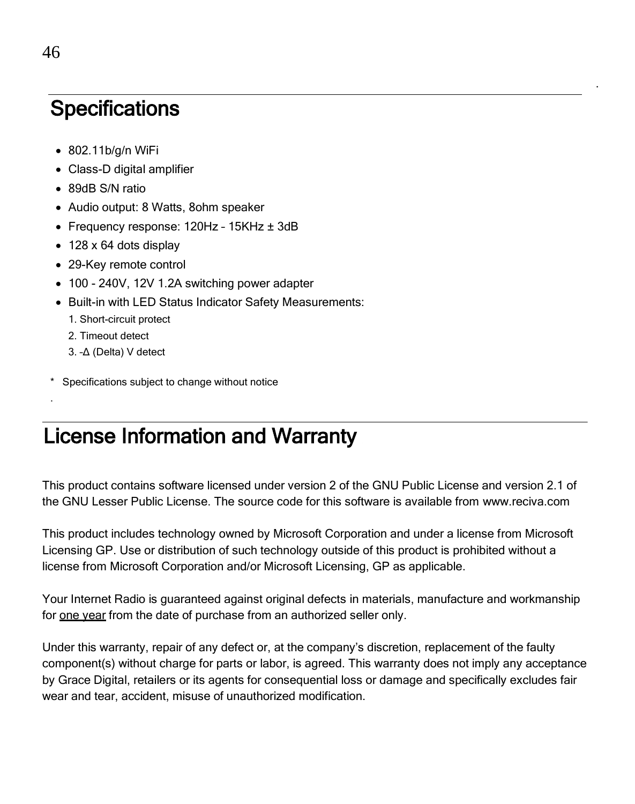### **Specifications**

- 802.11b/g/n WiFi
- Class-D digital amplifier
- 89dB S/N ratio
- Audio output: 8 Watts, 8ohm speaker
- Frequency response: 120Hz 15KHz ± 3dB
- 128 x 64 dots display
- 29-Key remote control
- 100 240V, 12V 1.2A switching power adapter
- Built-in with LED Status Indicator Safety Measurements:
	- 1. Short-circuit protect
	- 2. Timeout detect

.

- 3. –Δ (Delta) V detect
- Specifications subject to change without notice

### License Information and Warranty

This product contains software licensed under version 2 of the GNU Public License and version 2.1 of the GNU Lesser Public License. The source code for this software is available from www.reciva.com

.

This product includes technology owned by Microsoft Corporation and under a license from Microsoft Licensing GP. Use or distribution of such technology outside of this product is prohibited without a license from Microsoft Corporation and/or Microsoft Licensing, GP as applicable.

Your Internet Radio is guaranteed against original defects in materials, manufacture and workmanship for one year from the date of purchase from an authorized seller only.

Under this warranty, repair of any defect or, at the company's discretion, replacement of the faulty component(s) without charge for parts or labor, is agreed. This warranty does not imply any acceptance by Grace Digital, retailers or its agents for consequential loss or damage and specifically excludes fair wear and tear, accident, misuse of unauthorized modification.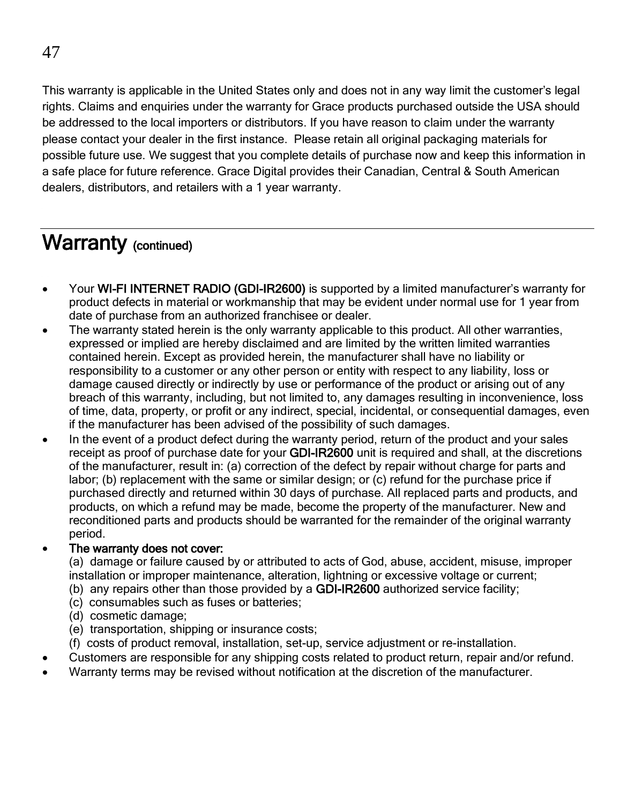This warranty is applicable in the United States only and does not in any way limit the customer's legal rights. Claims and enquiries under the warranty for Grace products purchased outside the USA should be addressed to the local importers or distributors. If you have reason to claim under the warranty please contact your dealer in the first instance. Please retain all original packaging materials for possible future use. We suggest that you complete details of purchase now and keep this information in a safe place for future reference. Grace Digital provides their Canadian, Central & South American dealers, distributors, and retailers with a 1 year warranty.

#### Warranty (continued)

- Your WI-FI INTERNET RADIO (GDI-IR2600) is supported by a limited manufacturer's warranty for product defects in material or workmanship that may be evident under normal use for 1 year from date of purchase from an authorized franchisee or dealer.
- The warranty stated herein is the only warranty applicable to this product. All other warranties, expressed or implied are hereby disclaimed and are limited by the written limited warranties contained herein. Except as provided herein, the manufacturer shall have no liability or responsibility to a customer or any other person or entity with respect to any liability, loss or damage caused directly or indirectly by use or performance of the product or arising out of any breach of this warranty, including, but not limited to, any damages resulting in inconvenience, loss of time, data, property, or profit or any indirect, special, incidental, or consequential damages, even if the manufacturer has been advised of the possibility of such damages.
- In the event of a product defect during the warranty period, return of the product and your sales receipt as proof of purchase date for your **GDI-IR2600** unit is required and shall, at the discretions of the manufacturer, result in: (a) correction of the defect by repair without charge for parts and labor; (b) replacement with the same or similar design; or (c) refund for the purchase price if purchased directly and returned within 30 days of purchase. All replaced parts and products, and products, on which a refund may be made, become the property of the manufacturer. New and reconditioned parts and products should be warranted for the remainder of the original warranty period.

#### The warranty does not cover:

- (a) damage or failure caused by or attributed to acts of God, abuse, accident, misuse, improper installation or improper maintenance, alteration, lightning or excessive voltage or current;
- (b) any repairs other than those provided by a **GDI-IR2600** authorized service facility;
- (c) consumables such as fuses or batteries;
- (d) cosmetic damage;
- (e) transportation, shipping or insurance costs;
- (f) costs of product removal, installation, set-up, service adjustment or re-installation.
- Customers are responsible for any shipping costs related to product return, repair and/or refund.
- Warranty terms may be revised without notification at the discretion of the manufacturer.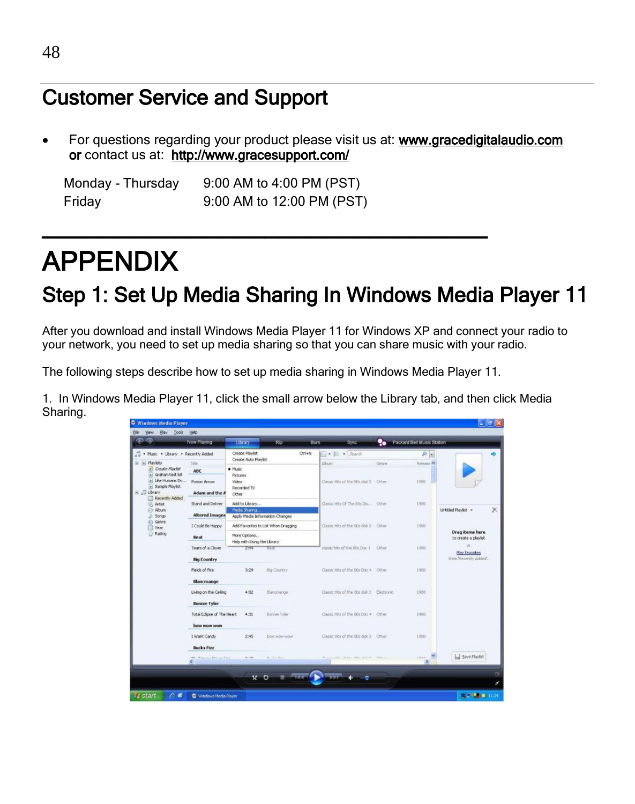### Customer Service and Support

 For questions regarding your product please visit us at: [www.gracedigitalaudio.com](http://www.gracedigitalaudio.com/)  or contact us at: <http://www.gracesupport.com/>

Monday - Thursday 9:00 AM to 4:00 PM (PST) Friday 9:00 AM to 12:00 PM (PST)

## APPENDIX

### Step 1: Set Up Media Sharing In Windows Media Player 11

After you download and install Windows Media Player 11 for Windows XP and connect your radio to your network, you need to set up media sharing so that you can share music with your radio.

The following steps describe how to set up media sharing in Windows Media Player 11.

\_\_\_\_\_\_\_\_\_\_\_\_\_\_\_\_\_\_\_\_\_\_\_\_\_\_\_\_\_\_

1. In Windows Media Player 11, click the small arrow below the Library tab, and then click Media Sharing.

| φ                                                                                  | Now Playing                                 | Library                                   | Rip                                 | Sync.<br>Burn                             | ۰.    | Packard Bell Music Station |                                                      |
|------------------------------------------------------------------------------------|---------------------------------------------|-------------------------------------------|-------------------------------------|-------------------------------------------|-------|----------------------------|------------------------------------------------------|
| Nasic . Library . Recently Added                                                   |                                             | Create Playlist<br>Create Auto Playest    | $Ctrl + N$                          | $\Box$ + $\Box$ + Sharch                  |       | $\Omega$                   |                                                      |
| E in Playlets<br>» Create Plantist                                                 | Title<br><b>ABC</b>                         | · Music                                   |                                     | Albiato                                   | Gerre | Release A                  |                                                      |
| » Graham test list<br>» Like Humans Do<br><b>E</b> Sample Playfist<br>B JJ Library | Poison Arrow<br>Adam and the A              | Pictures<br>Video<br>Recorded TV<br>Other |                                     | Classic Hits of the Bl's disk 3 Cities    |       | 1983                       |                                                      |
| Recently Added<br><b>CR</b> Artist<br>@ Album<br>d) Songs                          | Stand and Deliver<br><b>Altered Images</b>  | Add to Library<br>Media Sharing           | Apply Media Information Changes     | Classic Hits Of The 80s Dis Other         |       | 1983                       | Untitled Playest -                                   |
| G Genre<br>Year<br><b>Rating</b>                                                   | I Could Be Happy<br>Beat                    | More Options                              | Add Favorites to List When Dragging | Classic Hits of the BDs dak 3 Cither      |       | 1980                       | <b>Drag items here</b><br>to create a played         |
|                                                                                    | Tears of a Clown<br><b>Big Country</b>      | Help with Using the Library<br>2:44       | <b>TOUR</b>                         | classic hits of the 80s Dsc 1 Other       |       | 1983                       | $\alpha$<br>Play favorites<br>from 'Recently Added'. |
|                                                                                    | Fields of Fire<br>Blancmange                | 3:29                                      | Big Country                         | Classic Hits of the Rits Disc 4 Other     |       | 1903                       |                                                      |
|                                                                                    | Living on the Celing<br><b>Bonnie Tyler</b> | 4:02                                      | Blancmange                          | Classic Hits of the 80s disk 3 Electronic |       | 1980                       |                                                      |
|                                                                                    | Total Edipse of The Heart<br>bow wow wow    | 4:31                                      | Bonnee Tyler                        | Classic Hitz of the BDs Disc 4 Other      |       | 1980                       |                                                      |
|                                                                                    | I Want Candy<br><b>Bucks Fizz</b>           | 2:45                                      | box way wow                         | Classic Hits of the 80s disk 3 Other      |       | 1980                       |                                                      |
|                                                                                    | <b>MC Planning Marine Chair</b>             | ALXA                                      | THE RESIDENCE                       | al consistential executive to central     |       | these.                     | <b>La Save Playfot</b>                               |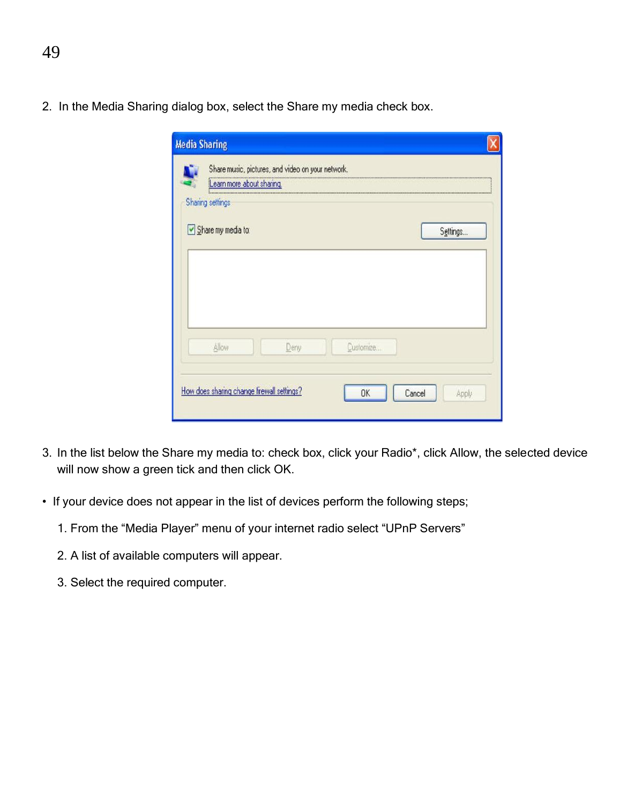2. In the Media Sharing dialog box, select the Share my media check box.

| Settings |
|----------|
|          |
|          |
|          |
|          |
|          |
|          |
|          |

- 3. In the list below the Share my media to: check box, click your Radio\*, click Allow, the selected device will now show a green tick and then click OK.
- If your device does not appear in the list of devices perform the following steps;
	- 1. From the "Media Player" menu of your internet radio select "UPnP Servers"
	- 2. A list of available computers will appear.
	- 3. Select the required computer.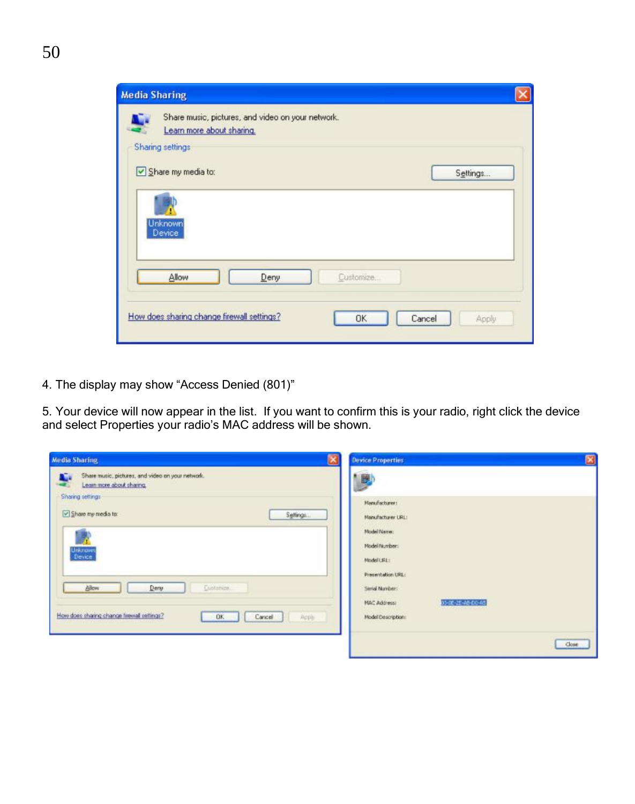| <b>Media Sharing</b>                                                                              |  |
|---------------------------------------------------------------------------------------------------|--|
| Share music, pictures, and video on your network.<br>Learn more about sharing<br>Sharing settings |  |
| Share my media to:<br>Settings                                                                    |  |
| Unknown<br>Device                                                                                 |  |
| Allow<br>Deny<br>Customize                                                                        |  |
| How does sharing change firewall settings?<br>OK<br>Cancel<br>Apply                               |  |

4. The display may show "Access Denied (801)"

5. Your device will now appear in the list. If you want to confirm this is your radio, right click the device and select Properties your radio's MAC address will be shown.

| <b>Media Sharing</b>                                                                                            | <b>Device Properties</b>                                                                                                                                                                     | $\mathbf{\overline{X}}$ |
|-----------------------------------------------------------------------------------------------------------------|----------------------------------------------------------------------------------------------------------------------------------------------------------------------------------------------|-------------------------|
| Share music, pictures, and video on your network.<br>n.<br>Lean more about sharing.                             | 膀                                                                                                                                                                                            |                         |
| Sharing settings<br>Share my media to:<br>Settings<br>University<br>Device<br>Customew.<br><b>Allow</b><br>Dery | Harufacturer:<br>Manufacturer LRL:<br>Model Name:<br>Model Number:<br>ModellUREs<br>Presentation URL:<br>Serial Number:<br><b>CONTRACTOR</b> CONTRACTOR<br>10-01-25-40-05-45<br>MAC Address: |                         |
| How does sharing change firewall settings?<br><b>OK</b><br>Cancel<br>Apply<br><b>CANDRA MARINE</b>              | Model Description:                                                                                                                                                                           | Close                   |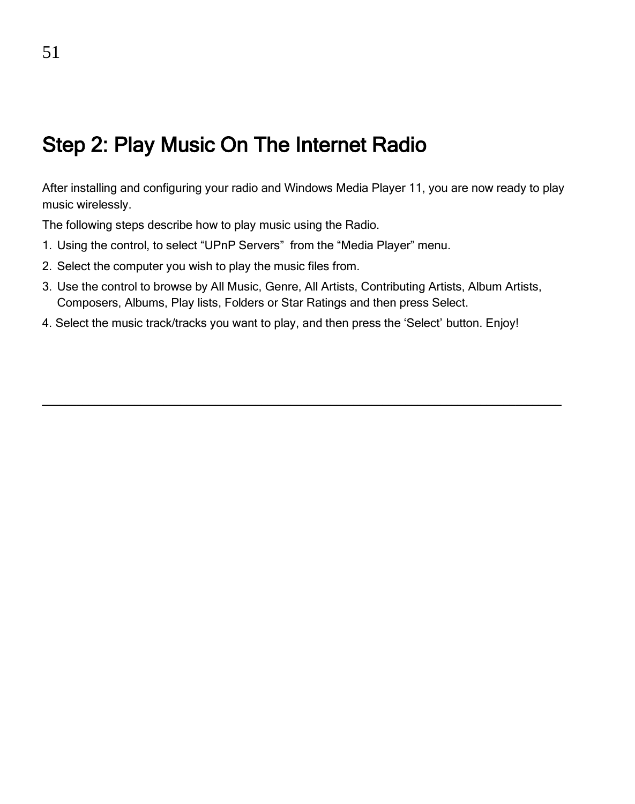### Step 2: Play Music On The Internet Radio

After installing and configuring your radio and Windows Media Player 11, you are now ready to play music wirelessly.

The following steps describe how to play music using the Radio.

- 1. Using the control, to select "UPnP Servers" from the "Media Player" menu.
- 2. Select the computer you wish to play the music files from.
- 3. Use the control to browse by All Music, Genre, All Artists, Contributing Artists, Album Artists, Composers, Albums, Play lists, Folders or Star Ratings and then press Select.

\_\_\_\_\_\_\_\_\_\_\_\_\_\_\_\_\_\_\_\_\_\_\_\_\_\_\_\_\_\_\_\_\_\_\_\_\_\_\_\_\_\_\_\_\_\_\_\_\_\_\_\_\_\_\_\_\_\_\_\_\_\_\_\_\_\_\_\_\_\_\_\_\_\_\_\_\_\_\_\_\_\_\_\_\_\_\_\_\_\_

4. Select the music track/tracks you want to play, and then press the 'Select' button. Enjoy!